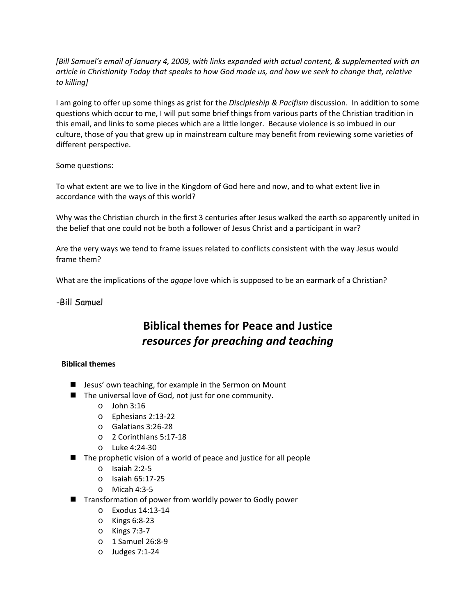*[Bill Samuel's email of January 4, 2009, with links expanded with actual content, & supplemented with an* article in Christianity Today that speaks to how God made us, and how we seek to change that, relative *to killing]*

I am going to offer up some things as grist for the *Discipleship & Pacifism* discussion. In addition to some questions which occur to me, I will put some brief things from various parts of the Christian tradition in this email, and links to some pieces which are a little longer. Because violence is so imbued in our culture, those of you that grew up in mainstream culture may benefit from reviewing some varieties of different perspective.

Some questions:

To what extent are we to live in the Kingdom of God here and now, and to what extent live in accordance with the ways of this world?

Why was the Christian church in the first 3 centuries after Jesus walked the earth so apparently united in the belief that one could not be both a follower of Jesus Christ and a participant in war?

Are the very ways we tend to frame issues related to conflicts consistent with the way Jesus would frame them?

What are the implications of the *agape* love which is supposed to be an earmark of a Christian?

-Bill Samuel

# **Biblical themes for Peace and Justice** *resources for preaching and teaching*

#### **Biblical themes**

- Jesus' own teaching, for example in the Sermon on Mount
- The universal love of God, not just for one community.
	- o John 3:16
	- o Ephesians 2:13‐22
	- o Galatians 3:26‐28
	- o 2 Corinthians 5:17‐18
	- o Luke 4:24‐30
- The prophetic vision of a world of peace and justice for all people
	- o Isaiah 2:2‐5
	- o Isaiah 65:17‐25
	- o Micah 4:3‐5
- Transformation of power from worldly power to Godly power
	- o Exodus 14:13‐14
	- o Kings 6:8‐23
	- o Kings 7:3‐7
	- o 1 Samuel 26:8‐9
	- o Judges 7:1‐24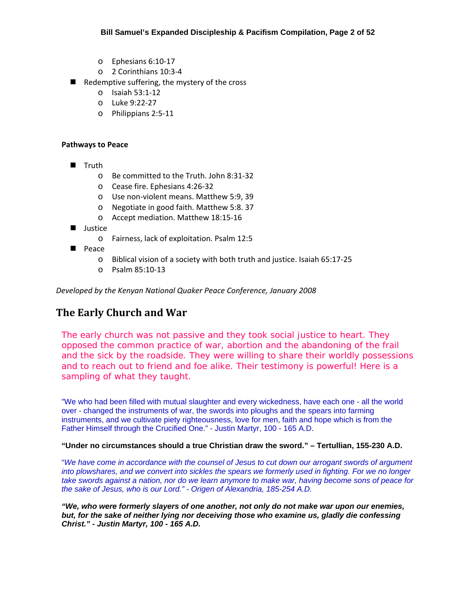- o Ephesians 6:10‐17
- o 2 Corinthians 10:3‐4
- $\blacksquare$  Redemptive suffering, the mystery of the cross
	- o Isaiah 53:1‐12
	- o Luke 9:22‐27
	- o Philippians 2:5‐11

#### **Pathways to Peace**

- $\blacksquare$  Truth
	- o Be committed to the Truth. John 8:31‐32
	- o Cease fire. Ephesians 4:26‐32
	- o Use non‐violent means. Matthew 5:9, 39
	- o Negotiate in good faith. Matthew 5:8. 37
	- o Accept mediation. Matthew 18:15‐16
- **I** Justice
	- o Fairness, lack of exploitation. Psalm 12:5
- **Peace** 
	- o Biblical vision of a society with both truth and justice. Isaiah 65:17‐25
	- o Psalm 85:10‐13

*Developed by the Kenyan National Quaker Peace Conference, January 2008*

# **The Early Church and War**

The early church was not passive and they took social justice to heart. They opposed the common practice of war, abortion and the abandoning of the frail and the sick by the roadside. They were willing to share their worldly possessions and to reach out to friend and foe alike. Their testimony is powerful! Here is a sampling of what they taught.

"We who had been filled with mutual slaughter and every wickedness, have each one - all the world over - changed the instruments of war, the swords into ploughs and the spears into farming instruments, and we cultivate piety righteousness, love for men, faith and hope which is from the Father Himself through the Crucified One." - Justin Martyr, 100 - 165 A.D.

#### **"Under no circumstances should a true Christian draw the sword." – Tertullian, 155-230 A.D.**

"*We have come in accordance with the counsel of Jesus to cut down our arrogant swords of argument into plowshares, and we convert into sickles the spears we formerly used in fighting. For we no longer take swords against a nation, nor do we learn anymore to make war, having become sons of peace for the sake of Jesus, who is our Lord." - Origen of Alexandria, 185-254 A.D.*

*"We, who were formerly slayers of one another, not only do not make war upon our enemies, but, for the sake of neither lying nor deceiving those who examine us, gladly die confessing Christ." - Justin Martyr, 100 - 165 A.D.*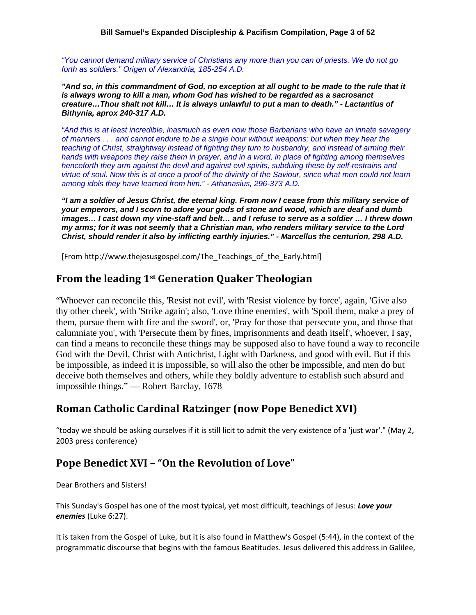*"You cannot demand military service of Christians any more than you can of priests. We do not go forth as soldiers." Origen of Alexandria, 185-254 A.D.*

*"And so, in this commandment of God, no exception at all ought to be made to the rule that it is always wrong to kill a man, whom God has wished to be regarded as a sacrosanct creature…Thou shalt not kill… It is always unlawful to put a man to death." - Lactantius of Bithynia, aprox 240-317 A.D.*

*"And this is at least incredible, inasmuch as even now those Barbarians who have an innate savagery of manners . . . and cannot endure to be a single hour without weapons; but when they hear the teaching of Christ, straightway instead of fighting they turn to husbandry, and instead of arming their hands with weapons they raise them in prayer, and in a word, in place of fighting among themselves henceforth they arm against the devil and against evil spirits, subduing these by self-restrains and virtue of soul. Now this is at once a proof of the divinity of the Saviour, since what men could not learn among idols they have learned from him." - Athanasius, 296-373 A.D.*

*"I am a soldier of Jesus Christ, the eternal king. From now I cease from this military service of your emperors, and I scorn to adore your gods of stone and wood, which are deaf and dumb images… I cast down my vine-staff and belt… and I refuse to serve as a soldier … I threw down my arms; for it was not seemly that a Christian man, who renders military service to the Lord Christ, should render it also by inflicting earthly injuries." - Marcellus the centurion, 298 A.D.*

[From http://www.thejesusgospel.com/The\_Teachings\_of\_the\_Early.html]

# **From the leading 1st Generation Quaker Theologian**

"Whoever can reconcile this, 'Resist not evil', with 'Resist violence by force', again, 'Give also thy other cheek', with 'Strike again'; also, 'Love thine enemies', with 'Spoil them, make a prey of them, pursue them with fire and the sword', or, 'Pray for those that persecute you, and those that calumniate you', with 'Persecute them by fines, imprisonments and death itself', whoever, I say, can find a means to reconcile these things may be supposed also to have found a way to reconcile God with the Devil, Christ with Antichrist, Light with Darkness, and good with evil. But if this be impossible, as indeed it is impossible, so will also the other be impossible, and men do but deceive both themselves and others, while they boldly adventure to establish such absurd and impossible things." — Robert Barclay, 1678

# **Roman Catholic Cardinal Ratzinger (now Pope Benedict XVI)**

"today we should be asking ourselves if it is still licit to admit the very existence of a 'just war'." (May 2, 2003 press conference)

# **Pope Benedict XVI – "On the Revolution of Love"**

Dear Brothers and Sisters!

This Sunday's Gospel has one of the most typical, yet most difficult, teachings of Jesus: *Love your enemies* (Luke 6:27).

It is taken from the Gospel of Luke, but it is also found in Matthew's Gospel (5:44), in the context of the programmatic discourse that begins with the famous Beatitudes. Jesus delivered this address in Galilee,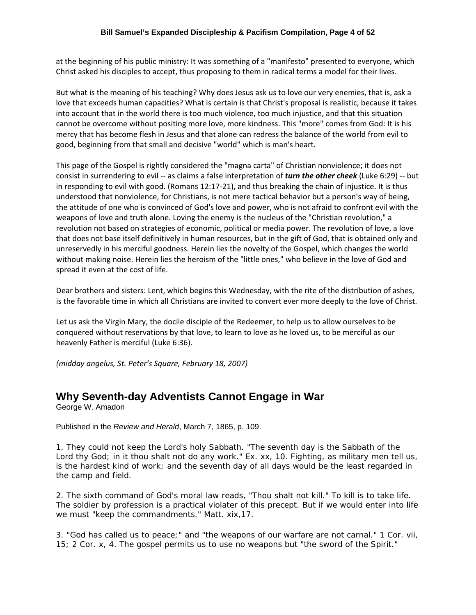at the beginning of his public ministry: It was something of a "manifesto" presented to everyone, which Christ asked his disciples to accept, thus proposing to them in radical terms a model for their lives.

But what is the meaning of his teaching? Why does Jesus ask us to love our very enemies, that is, ask a love that exceeds human capacities? What is certain is that Christ's proposal is realistic, because it takes into account that in the world there is too much violence, too much injustice, and that this situation cannot be overcome without positing more love, more kindness. This "more" comes from God: It is his mercy that has become flesh in Jesus and that alone can redress the balance of the world from evil to good, beginning from that small and decisive "world" which is man's heart.

This page of the Gospel is rightly considered the "magna carta" of Christian nonviolence; it does not consist in surrendering to evil ‐‐ as claims a false interpretation of *turn the other cheek* (Luke 6:29) ‐‐ but in responding to evil with good. (Romans 12:17‐21), and thus breaking the chain of injustice. It is thus understood that nonviolence, for Christians, is not mere tactical behavior but a person's way of being, the attitude of one who is convinced of God's love and power, who is not afraid to confront evil with the weapons of love and truth alone. Loving the enemy is the nucleus of the "Christian revolution," a revolution not based on strategies of economic, political or media power. The revolution of love, a love that does not base itself definitively in human resources, but in the gift of God, that is obtained only and unreservedly in his merciful goodness. Herein lies the novelty of the Gospel, which changes the world without making noise. Herein lies the heroism of the "little ones," who believe in the love of God and spread it even at the cost of life.

Dear brothers and sisters: Lent, which begins this Wednesday, with the rite of the distribution of ashes, is the favorable time in which all Christians are invited to convert ever more deeply to the love of Christ.

Let us ask the Virgin Mary, the docile disciple of the Redeemer, to help us to allow ourselves to be conquered without reservations by that love, to learn to love as he loved us, to be merciful as our heavenly Father is merciful (Luke 6:36).

*(midday angelus, St. Peter's Square, February 18, 2007)*

# **Why Seventh-day Adventists Cannot Engage in War**

George W. Amadon

Published in the *Review and Herald*, March 7, 1865, p. 109.

1. They could not keep the Lord's holy Sabbath. "The *seventh day* is the Sabbath of the Lord thy God; in it *thou shalt not do any work."* Ex. xx, 10. Fighting, as military men tell us, is the hardest kind of work; and the *seventh* day of all days would be the least regarded in the camp and field.

2. The sixth command of God's moral law reads, "Thou shalt not kill." To kill is to take life. The soldier by profession is a practical violater of this precept. But if we would enter into life we must "*keep* the commandments." Matt. xix,17.

3. "God has called *us* to peace;" and "the weapons of *our* warfare are not carnal." 1 Cor. vii, 15; 2 Cor. x, 4. The gospel permits us to use no weapons but "the sword of the Spirit."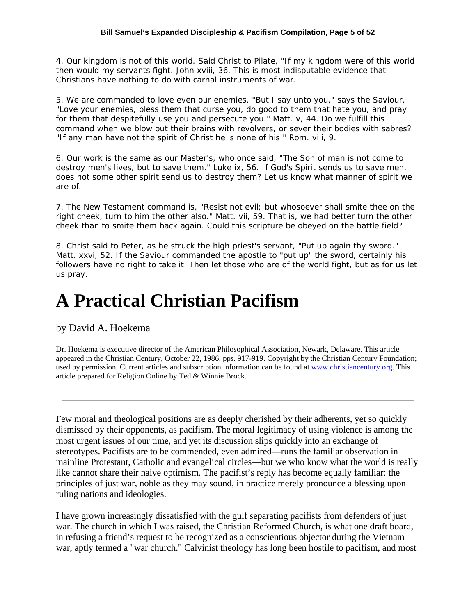4. Our kingdom is not of this world. Said Christ to Pilate, "If my kingdom were of this world *then would* my servants *fight*. John xviii, 36. This is most indisputable evidence that Christians have nothing to do with carnal instruments of war.

5. We are commanded to love even our enemies. "But I say unto you," says the Saviour, "Love your enemies, bless them that curse you, do good to them that hate you, and pray for them that despitefully use you and persecute you." Matt. v, 44. Do we fulfill this command when we blow out their brains with revolvers, or sever their bodies with sabres? "If any man have not the spirit of Christ he is none of his." Rom. viii, 9.

6. Our work is the same as our Master's, who once said, "The Son of man is not come to destroy men's lives, but to save them." Luke ix, 56. If God's Spirit sends us to *save* men, does not *some other* spirit send us to *destroy* them? Let us know what manner of spirit we are of.

7. The New Testament command is, "Resist not evil; but whosoever shall smite thee on the right cheek, turn to him the other also." Matt. vii, 59. That is, we *had better* turn the other cheek than to smite them back again. Could this scripture be obeyed on the battle field?

8. Christ said to Peter, as he struck the high priest's servant, "*Put up again thy sword*." Matt. xxvi, 52. If the Saviour commanded the apostle to "put up" the sword, certainly his followers have no right to take it. Then let those who are of the world *fight*, but as for us let us *pray*.

# **A Practical Christian Pacifism**

by David A. Hoekema

Dr. Hoekema is executive director of the American Philosophical Association, Newark, Delaware. This article appeared in the Christian Century, October 22, 1986, pps. 917-919. Copyright by the Christian Century Foundation; used by permission. Current articles and subscription information can be found at [www.christiancentury.org.](http://www.christiancentury.org/) This article prepared for Religion Online by Ted & Winnie Brock.

Few moral and theological positions are as deeply cherished by their adherents, yet so quickly dismissed by their opponents, as pacifism. The moral legitimacy of using violence is among the most urgent issues of our time, and yet its discussion slips quickly into an exchange of stereotypes. Pacifists are to be commended, even admired—runs the familiar observation in mainline Protestant, Catholic and evangelical circles—but we who know what the world is really like cannot share their naive optimism. The pacifist's reply has become equally familiar: the principles of just war, noble as they may sound, in practice merely pronounce a blessing upon ruling nations and ideologies.

I have grown increasingly dissatisfied with the gulf separating pacifists from defenders of just war. The church in which I was raised, the Christian Reformed Church, is what one draft board, in refusing a friend's request to be recognized as a conscientious objector during the Vietnam war, aptly termed a "war church." Calvinist theology has long been hostile to pacifism, and most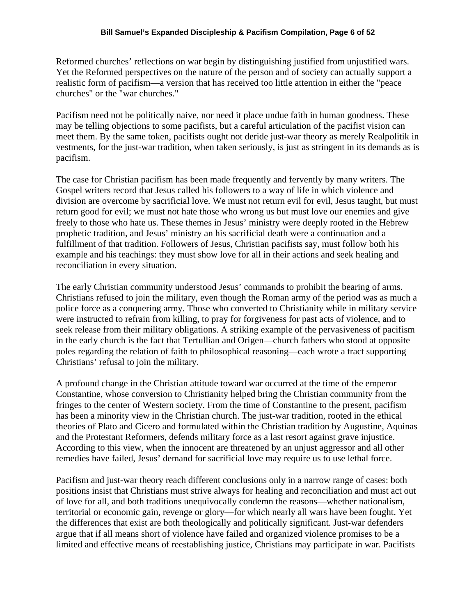Reformed churches' reflections on war begin by distinguishing justified from unjustified wars. Yet the Reformed perspectives on the nature of the person and of society can actually support a realistic form of pacifism—a version that has received too little attention in either the "peace churches" or the "war churches."

Pacifism need not be politically naive, nor need it place undue faith in human goodness. These may be telling objections to some pacifists, but a careful articulation of the pacifist vision can meet them. By the same token, pacifists ought not deride just-war theory as merely Realpolitik in vestments, for the just-war tradition, when taken seriously, is just as stringent in its demands as is pacifism.

The case for Christian pacifism has been made frequently and fervently by many writers. The Gospel writers record that Jesus called his followers to a way of life in which violence and division are overcome by sacrificial love. We must not return evil for evil, Jesus taught, but must return good for evil; we must not hate those who wrong us but must love our enemies and give freely to those who hate us. These themes in Jesus' ministry were deeply rooted in the Hebrew prophetic tradition, and Jesus' ministry an his sacrificial death were a continuation and a fulfillment of that tradition. Followers of Jesus, Christian pacifists say, must follow both his example and his teachings: they must show love for all in their actions and seek healing and reconciliation in every situation.

The early Christian community understood Jesus' commands to prohibit the bearing of arms. Christians refused to join the military, even though the Roman army of the period was as much a police force as a conquering army. Those who converted to Christianity while in military service were instructed to refrain from killing, to pray for forgiveness for past acts of violence, and to seek release from their military obligations. A striking example of the pervasiveness of pacifism in the early church is the fact that Tertullian and Origen—church fathers who stood at opposite poles regarding the relation of faith to philosophical reasoning—each wrote a tract supporting Christians' refusal to join the military.

A profound change in the Christian attitude toward war occurred at the time of the emperor Constantine, whose conversion to Christianity helped bring the Christian community from the fringes to the center of Western society. From the time of Constantine to the present, pacifism has been a minority view in the Christian church. The just-war tradition, rooted in the ethical theories of Plato and Cicero and formulated within the Christian tradition by Augustine, Aquinas and the Protestant Reformers, defends military force as a last resort against grave injustice. According to this view, when the innocent are threatened by an unjust aggressor and all other remedies have failed, Jesus' demand for sacrificial love may require us to use lethal force.

Pacifism and just-war theory reach different conclusions only in a narrow range of cases: both positions insist that Christians must strive always for healing and reconciliation and must act out of love for all, and both traditions unequivocally condemn the reasons—whether nationalism, territorial or economic gain, revenge or glory—for which nearly all wars have been fought. Yet the differences that exist are both theologically and politically significant. Just-war defenders argue that if all means short of violence have failed and organized violence promises to be a limited and effective means of reestablishing justice, Christians may participate in war. Pacifists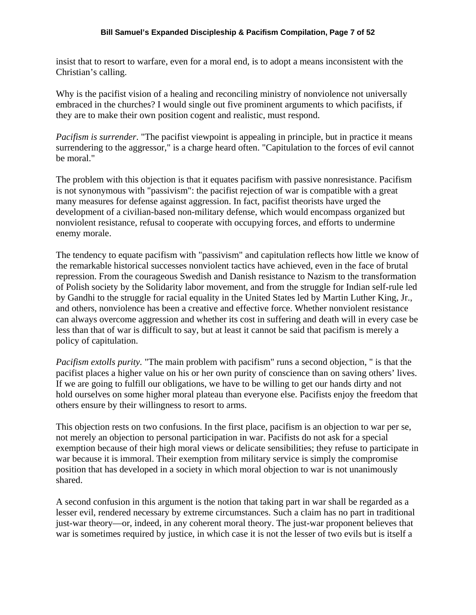insist that to resort to warfare, even for a moral end, is to adopt a means inconsistent with the Christian's calling.

Why is the pacifist vision of a healing and reconciling ministry of nonviolence not universally embraced in the churches? I would single out five prominent arguments to which pacifists, if they are to make their own position cogent and realistic, must respond.

*Pacifism is surrender*. "The pacifist viewpoint is appealing in principle, but in practice it means surrendering to the aggressor," is a charge heard often. "Capitulation to the forces of evil cannot be moral."

The problem with this objection is that it equates pacifism with passive nonresistance. Pacifism is not synonymous with "passivism": the pacifist rejection of war is compatible with a great many measures for defense against aggression. In fact, pacifist theorists have urged the development of a civilian-based non-military defense, which would encompass organized but nonviolent resistance, refusal to cooperate with occupying forces, and efforts to undermine enemy morale.

The tendency to equate pacifism with "passivism" and capitulation reflects how little we know of the remarkable historical successes nonviolent tactics have achieved, even in the face of brutal repression. From the courageous Swedish and Danish resistance to Nazism to the transformation of Polish society by the Solidarity labor movement, and from the struggle for Indian self-rule led by Gandhi to the struggle for racial equality in the United States led by Martin Luther King, Jr., and others, nonviolence has been a creative and effective force. Whether nonviolent resistance can always overcome aggression and whether its cost in suffering and death will in every case be less than that of war is difficult to say, but at least it cannot be said that pacifism is merely a policy of capitulation.

*Pacifism extolls purity.* "The main problem with pacifism" runs a second objection, " is that the pacifist places a higher value on his or her own purity of conscience than on saving others' lives. If we are going to fulfill our obligations, we have to be willing to get our hands dirty and not hold ourselves on some higher moral plateau than everyone else. Pacifists enjoy the freedom that others ensure by their willingness to resort to arms.

This objection rests on two confusions. In the first place, pacifism is an objection to war per se, not merely an objection to personal participation in war. Pacifists do not ask for a special exemption because of their high moral views or delicate sensibilities; they refuse to participate in war because it is immoral. Their exemption from military service is simply the compromise position that has developed in a society in which moral objection to war is not unanimously shared.

A second confusion in this argument is the notion that taking part in war shall be regarded as a lesser evil, rendered necessary by extreme circumstances. Such a claim has no part in traditional just-war theory—or, indeed, in any coherent moral theory. The just-war proponent believes that war is sometimes required by justice, in which case it is not the lesser of two evils but is itself a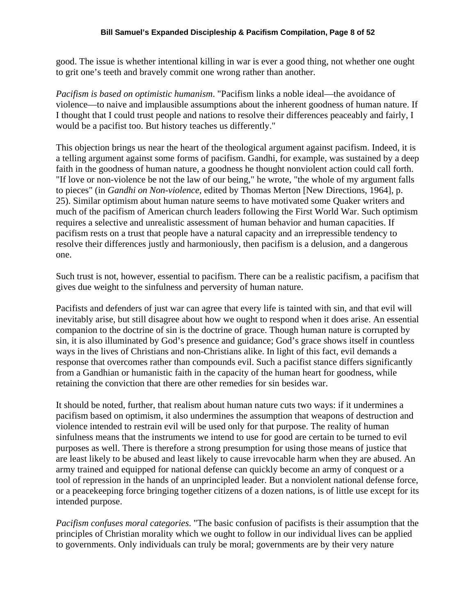good. The issue is whether intentional killing in war is ever a good thing, not whether one ought to grit one's teeth and bravely commit one wrong rather than another.

*Pacifism is based on optimistic humanism*. "Pacifism links a noble ideal—the avoidance of violence—to naive and implausible assumptions about the inherent goodness of human nature. If I thought that I could trust people and nations to resolve their differences peaceably and fairly, I would be a pacifist too. But history teaches us differently."

This objection brings us near the heart of the theological argument against pacifism. Indeed, it is a telling argument against some forms of pacifism. Gandhi, for example, was sustained by a deep faith in the goodness of human nature, a goodness he thought nonviolent action could call forth. "If love or non-violence be not the law of our being," he wrote, "the whole of my argument falls to pieces" (in *Gandhi on Non-violence,* edited by Thomas Merton [New Directions, 1964], p. 25). Similar optimism about human nature seems to have motivated some Quaker writers and much of the pacifism of American church leaders following the First World War. Such optimism requires a selective and unrealistic assessment of human behavior and human capacities. If pacifism rests on a trust that people have a natural capacity and an irrepressible tendency to resolve their differences justly and harmoniously, then pacifism is a delusion, and a dangerous one.

Such trust is not, however, essential to pacifism. There can be a realistic pacifism, a pacifism that gives due weight to the sinfulness and perversity of human nature.

Pacifists and defenders of just war can agree that every life is tainted with sin, and that evil will inevitably arise, but still disagree about how we ought to respond when it does arise. An essential companion to the doctrine of sin is the doctrine of grace. Though human nature is corrupted by sin, it is also illuminated by God's presence and guidance; God's grace shows itself in countless ways in the lives of Christians and non-Christians alike. In light of this fact, evil demands a response that overcomes rather than compounds evil. Such a pacifist stance differs significantly from a Gandhian or humanistic faith in the capacity of the human heart for goodness, while retaining the conviction that there are other remedies for sin besides war.

It should be noted, further, that realism about human nature cuts two ways: if it undermines a pacifism based on optimism, it also undermines the assumption that weapons of destruction and violence intended to restrain evil will be used only for that purpose. The reality of human sinfulness means that the instruments we intend to use for good are certain to be turned to evil purposes as well. There is therefore a strong presumption for using those means of justice that are least likely to be abused and least likely to cause irrevocable harm when they are abused. An army trained and equipped for national defense can quickly become an army of conquest or a tool of repression in the hands of an unprincipled leader. But a nonviolent national defense force, or a peacekeeping force bringing together citizens of a dozen nations, is of little use except for its intended purpose.

*Pacifism confuses moral categories*. "The basic confusion of pacifists is their assumption that the principles of Christian morality which we ought to follow in our individual lives can be applied to governments. Only individuals can truly be moral; governments are by their very nature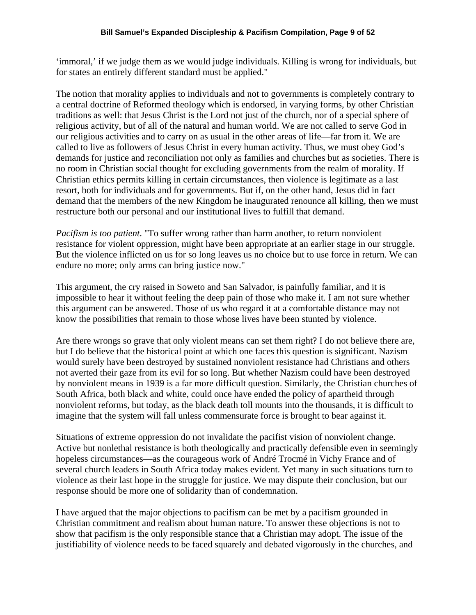'immoral,' if we judge them as we would judge individuals. Killing is wrong for individuals, but for states an entirely different standard must be applied."

The notion that morality applies to individuals and not to governments is completely contrary to a central doctrine of Reformed theology which is endorsed, in varying forms, by other Christian traditions as well: that Jesus Christ is the Lord not just of the church, nor of a special sphere of religious activity, but of all of the natural and human world. We are not called to serve God in our religious activities and to carry on as usual in the other areas of life—far from it. We are called to live as followers of Jesus Christ in every human activity. Thus, we must obey God's demands for justice and reconciliation not only as families and churches but as societies. There is no room in Christian social thought for excluding governments from the realm of morality. If Christian ethics permits killing in certain circumstances, then violence is legitimate as a last resort, both for individuals and for governments. But if, on the other hand, Jesus did in fact demand that the members of the new Kingdom he inaugurated renounce all killing, then we must restructure both our personal and our institutional lives to fulfill that demand.

*Pacifism is too patient*. "To suffer wrong rather than harm another, to return nonviolent resistance for violent oppression, might have been appropriate at an earlier stage in our struggle. But the violence inflicted on us for so long leaves us no choice but to use force in return. We can endure no more; only arms can bring justice now."

This argument, the cry raised in Soweto and San Salvador, is painfully familiar, and it is impossible to hear it without feeling the deep pain of those who make it. I am not sure whether this argument can be answered. Those of us who regard it at a comfortable distance may not know the possibilities that remain to those whose lives have been stunted by violence.

Are there wrongs so grave that only violent means can set them right? I do not believe there are, but I do believe that the historical point at which one faces this question is significant. Nazism would surely have been destroyed by sustained nonviolent resistance had Christians and others not averted their gaze from its evil for so long. But whether Nazism could have been destroyed by nonviolent means in 1939 is a far more difficult question. Similarly, the Christian churches of South Africa, both black and white, could once have ended the policy of apartheid through nonviolent reforms, but today, as the black death toll mounts into the thousands, it is difficult to imagine that the system will fall unless commensurate force is brought to bear against it.

Situations of extreme oppression do not invalidate the pacifist vision of nonviolent change. Active but nonlethal resistance is both theologically and practically defensible even in seemingly hopeless circumstances—as the courageous work of André Trocmé in Vichy France and of several church leaders in South Africa today makes evident. Yet many in such situations turn to violence as their last hope in the struggle for justice. We may dispute their conclusion, but our response should be more one of solidarity than of condemnation.

I have argued that the major objections to pacifism can be met by a pacifism grounded in Christian commitment and realism about human nature. To answer these objections is not to show that pacifism is the only responsible stance that a Christian may adopt. The issue of the justifiability of violence needs to be faced squarely and debated vigorously in the churches, and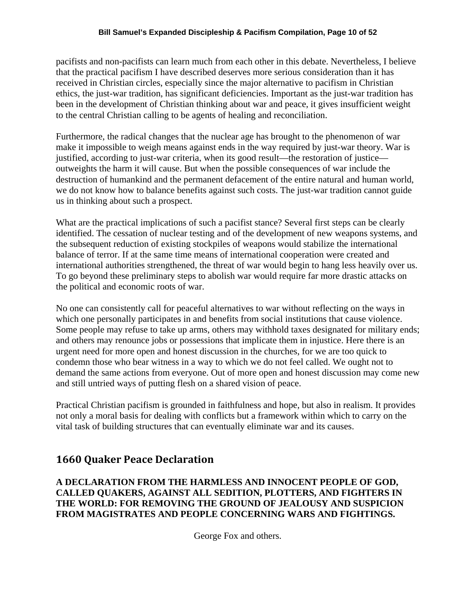pacifists and non-pacifists can learn much from each other in this debate. Nevertheless, I believe that the practical pacifism I have described deserves more serious consideration than it has received in Christian circles, especially since the major alternative to pacifism in Christian ethics, the just-war tradition, has significant deficiencies. Important as the just-war tradition has been in the development of Christian thinking about war and peace, it gives insufficient weight to the central Christian calling to be agents of healing and reconciliation.

Furthermore, the radical changes that the nuclear age has brought to the phenomenon of war make it impossible to weigh means against ends in the way required by just-war theory. War is justified, according to just-war criteria, when its good result—the restoration of justice outweights the harm it will cause. But when the possible consequences of war include the destruction of humankind and the permanent defacement of the entire natural and human world, we do not know how to balance benefits against such costs. The just-war tradition cannot guide us in thinking about such a prospect.

What are the practical implications of such a pacifist stance? Several first steps can be clearly identified. The cessation of nuclear testing and of the development of new weapons systems, and the subsequent reduction of existing stockpiles of weapons would stabilize the international balance of terror. If at the same time means of international cooperation were created and international authorities strengthened, the threat of war would begin to hang less heavily over us. To go beyond these preliminary steps to abolish war would require far more drastic attacks on the political and economic roots of war.

No one can consistently call for peaceful alternatives to war without reflecting on the ways in which one personally participates in and benefits from social institutions that cause violence. Some people may refuse to take up arms, others may withhold taxes designated for military ends; and others may renounce jobs or possessions that implicate them in injustice. Here there is an urgent need for more open and honest discussion in the churches, for we are too quick to condemn those who bear witness in a way to which we do not feel called. We ought not to demand the same actions from everyone. Out of more open and honest discussion may come new and still untried ways of putting flesh on a shared vision of peace.

Practical Christian pacifism is grounded in faithfulness and hope, but also in realism. It provides not only a moral basis for dealing with conflicts but a framework within which to carry on the vital task of building structures that can eventually eliminate war and its causes.

# **1660 Quaker Peace Declaration**

# **A DECLARATION FROM THE HARMLESS AND INNOCENT PEOPLE OF GOD, CALLED QUAKERS, AGAINST ALL SEDITION, PLOTTERS, AND FIGHTERS IN THE WORLD: FOR REMOVING THE GROUND OF JEALOUSY AND SUSPICION FROM MAGISTRATES AND PEOPLE CONCERNING WARS AND FIGHTINGS.**

George Fox and others.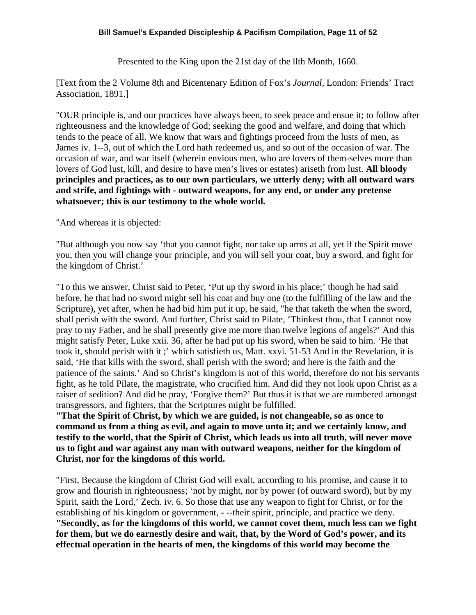Presented to the King upon the 21st day of the llth Month, 1660.

[Text from the 2 Volume 8th and Bicentenary Edition of Fox's *Journal,* London: Friends' Tract Association, 1891.]

"OUR principle is, and our practices have always been, to seek peace and ensue it; to follow after righteousness and the knowledge of God; seeking the good and welfare, and doing that which tends to the peace of all. We know that wars and fightings proceed from the lusts of men, as James iv. 1--3, out of which the Lord hath redeemed us, and so out of the occasion of war. The occasion of war, and war itself (wherein envious men, who are lovers of them-selves more than lovers of God lust, kill, and desire to have men's lives or estates) ariseth from lust. **All bloody principles and practices, as to our own particulars, we utterly deny; with all outward wars and strife, and fightings with - outward weapons, for any end, or under any pretense whatsoever; this is our testimony to the whole world.** 

"And whereas it is objected:

"But although you now say 'that you cannot fight, nor take up arms at all, yet if the Spirit move you, then you will change your principle, and you will sell your coat, buy a sword, and fight for the kingdom of Christ.'

"To this we answer, Christ said to Peter, 'Put up thy sword in his place;' though he had said before, he that had no sword might sell his coat and buy one (to the fulfilling of the law and the Scripture), yet after, when he had bid him put it up, he said, "he that taketh the when the sword, shall perish with the sword. And further, Christ said to Pilate, 'Thinkest thou, that I cannot now pray to my Father, and he shall presently give me more than twelve legions of angels?' And this might satisfy Peter, Luke xxii. 36, after he had put up his sword, when he said to him. 'He that took it, should perish with it ;' which satisfieth us, Matt. xxvi. 51-53 And in the Revelation, it is said, 'He that kills with the sword, shall perish with the sword; and here is the faith and the patience of the saints.' And so Christ's kingdom is not of this world, therefore do not his servants fight, as he told Pilate, the magistrate, who crucified him. And did they not look upon Christ as a raiser of sedition? And did he pray, 'Forgive them?' But thus it is that we are numbered amongst transgressors, and fighters, that the Scriptures might be fulfilled.

**"That the Spirit of Christ, by which we are guided, is not changeable, so as once to command us from a thing as evil, and again to move unto it; and we certainly know, and testify to the world, that the Spirit of Christ, which leads us into all truth, will never move us to fight and war against any man with outward weapons, neither for the kingdom of Christ, nor for the kingdoms of this world.** 

"First, Because the kingdom of Christ God will exalt, according to his promise, and cause it to grow and flourish in righteousness; 'not by might, nor by power (of outward sword), but by my Spirit, saith the Lord,' Zech. iv. 6. So those that use any weapon to fight for Christ, or for the establishing of his kingdom or government, - --their spirit, principle, and practice we deny. **"Secondly, as for the kingdoms of this world, we cannot covet them, much less can we fight for them, but we do earnestly desire and wait, that, by the Word of God's power, and its effectual operation in the hearts of men, the kingdoms of this world may become the**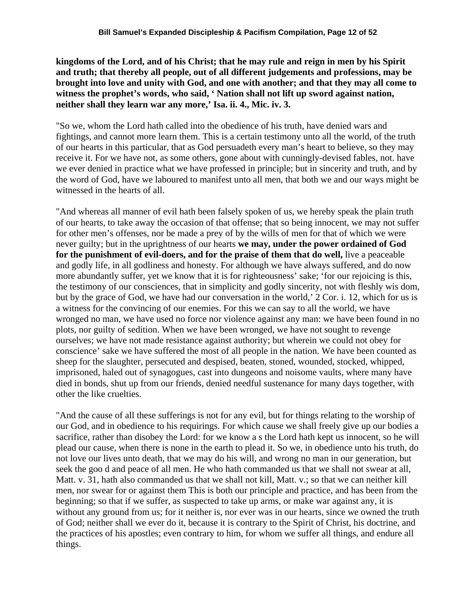**kingdoms of the Lord, and of his Christ; that he may rule and reign in men by his Spirit and truth; that thereby all people, out of all different judgements and professions, may be brought into love and unity with God, and one with another; and that they may all come to witness the prophet's words, who said, ' Nation shall not lift up sword against nation, neither shall they learn war any more,' Isa. ii. 4., Mic. iv. 3.**

"So we, whom the Lord hath called into the obedience of his truth, have denied wars and fightings, and cannot more learn them. This is a certain testimony unto all the world, of the truth of our hearts in this particular, that as God persuadeth every man's heart to believe, so they may receive it. For we have not, as some others, gone about with cunningly-devised fables, not. have we ever denied in practice what we have professed in principle; but in sincerity and truth, and by the word of God, have we laboured to manifest unto all men, that both we and our ways might be witnessed in the hearts of all.

"And whereas all manner of evil hath been falsely spoken of us, we hereby speak the plain truth of our hearts, to take away the occasion of that offense; that so being innocent, we may not suffer for other men's offenses, nor be made a prey of by the wills of men for that of which we were never guilty; but in the uprightness of our hearts **we may, under the power ordained of God for the punishment of evil-doers, and for the praise of them that do well,** live a peaceable and godly life, in all godliness and honesty. For although we have always suffered, and do now more abundantly suffer, yet we know that it is for righteousness' sake; 'for our rejoicing is this, the testimony of our consciences, that in simplicity and godly sincerity, not with fleshly wis dom, but by the grace of God, we have had our conversation in the world,' 2 Cor. i. 12, which for us is a witness for the convincing of our enemies. For this we can say to all the world, we have wronged no man, we have used no force nor violence against any man: we have been found in no plots, nor guilty of sedition. When we have been wronged, we have not sought to revenge ourselves; we have not made resistance against authority; but wherein we could not obey for conscience' sake we have suffered the most of all people in the nation. We have been counted as sheep for the slaughter, persecuted and despised, beaten, stoned, wounded, stocked, whipped, imprisoned, haled out of synagogues, cast into dungeons and noisome vaults, where many have died in bonds, shut up from our friends, denied needful sustenance for many days together, with other the like cruelties.

"And the cause of all these sufferings is not for any evil, but for things relating to the worship of our God, and in obedience to his requirings. For which cause we shall freely give up our bodies a sacrifice, rather than disobey the Lord: for we know a s the Lord hath kept us innocent, so he will plead our cause, when there is none in the earth to plead it. So we, in obedience unto his truth, do not love our lives unto death, that we may do his will, and wrong no man in our generation, but seek the goo d and peace of all men. He who hath commanded us that we shall not swear at all, Matt. v. 31, hath also commanded us that we shall not kill, Matt. v.; so that we can neither kill men, nor swear for or against them This is both our principle and practice, and has been from the beginning; so that if we suffer, as suspected to take up arms, or make war against any, it is without any ground from us; for it neither is, nor ever was in our hearts, since we owned the truth of God; neither shall we ever do it, because it is contrary to the Spirit of Christ, his doctrine, and the practices of his apostles; even contrary to him, for whom we suffer all things, and endure all things.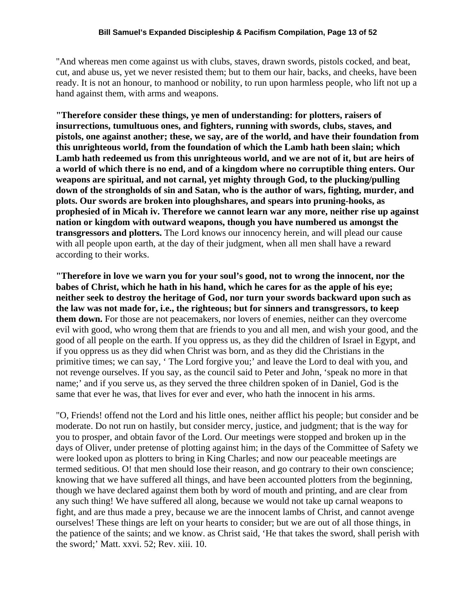"And whereas men come against us with clubs, staves, drawn swords, pistols cocked, and beat, cut, and abuse us, yet we never resisted them; but to them our hair, backs, and cheeks, have been ready. It is not an honour, to manhood or nobility, to run upon harmless people, who lift not up a hand against them, with arms and weapons.

**"Therefore consider these things, ye men of understanding: for plotters, raisers of insurrections, tumultuous ones, and fighters, running with swords, clubs, staves, and pistols, one against another; these, we say, are of the world, and have their foundation from this unrighteous world, from the foundation of which the Lamb hath been slain; which Lamb hath redeemed us from this unrighteous world, and we are not of it, but are heirs of a world of which there is no end, and of a kingdom where no corruptible thing enters. Our weapons are spiritual, and not carnal, yet mighty through God, to the plucking/pulling down of the strongholds of sin and Satan, who is the author of wars, fighting, murder, and plots. Our swords are broken into ploughshares, and spears into pruning-hooks, as prophesied of in Micah iv. Therefore we cannot learn war any more, neither rise up against nation or kingdom with outward weapons, though you have numbered us amongst the transgressors and plotters.** The Lord knows our innocency herein, and will plead our cause with all people upon earth, at the day of their judgment, when all men shall have a reward according to their works.

**"Therefore in love we warn you for your soul's good, not to wrong the innocent, nor the babes of Christ, which he hath in his hand, which he cares for as the apple of his eye; neither seek to destroy the heritage of God, nor turn your swords backward upon such as the law was not made for, i.e., the righteous; but for sinners and transgressors, to keep them down.** For those are not peacemakers, nor lovers of enemies, neither can they overcome evil with good, who wrong them that are friends to you and all men, and wish your good, and the good of all people on the earth. If you oppress us, as they did the children of Israel in Egypt, and if you oppress us as they did when Christ was born, and as they did the Christians in the primitive times; we can say, ' The Lord forgive you;' and leave the Lord to deal with you, and not revenge ourselves. If you say, as the council said to Peter and John, 'speak no more in that name;' and if you serve us, as they served the three children spoken of in Daniel, God is the same that ever he was, that lives for ever and ever, who hath the innocent in his arms.

"O, Friends! offend not the Lord and his little ones, neither afflict his people; but consider and be moderate. Do not run on hastily, but consider mercy, justice, and judgment; that is the way for you to prosper, and obtain favor of the Lord. Our meetings were stopped and broken up in the days of Oliver, under pretense of plotting against him; in the days of the Committee of Safety we were looked upon as plotters to bring in King Charles; and now our peaceable meetings are termed seditious. O! that men should lose their reason, and go contrary to their own conscience; knowing that we have suffered all things, and have been accounted plotters from the beginning, though we have declared against them both by word of mouth and printing, and are clear from any such thing! We have suffered all along, because we would not take up carnal weapons to fight, and are thus made a prey, because we are the innocent lambs of Christ, and cannot avenge ourselves! These things are left on your hearts to consider; but we are out of all those things, in the patience of the saints; and we know. as Christ said, 'He that takes the sword, shall perish with the sword;' Matt. xxvi. 52; Rev. xiii. 10.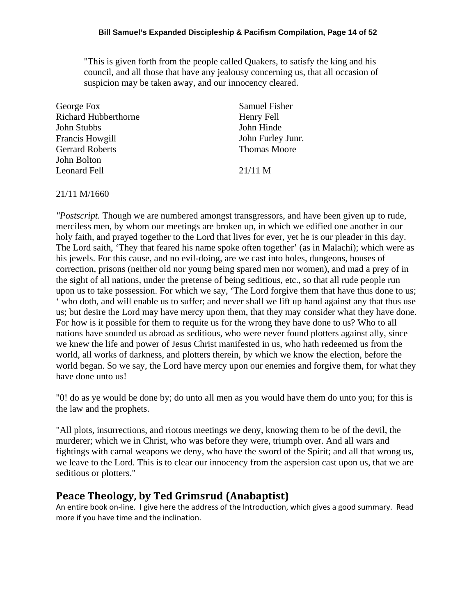"This is given forth from the people called Quakers, to satisfy the king and his council, and all those that have any jealousy concerning us, that all occasion of suspicion may be taken away, and our innocency cleared.

George Fox Richard Hubberthorne John Stubbs Francis Howgill Gerrard Roberts John Bolton Leonard Fell

Samuel Fisher Henry Fell John Hinde John Furley Junr. Thomas Moore

21/11 M

#### 21/11 M/1660

*"Postscript.* Though we are numbered amongst transgressors, and have been given up to rude, merciless men, by whom our meetings are broken up, in which we edified one another in our holy faith, and prayed together to the Lord that lives for ever, yet he is our pleader in this day. The Lord saith, 'They that feared his name spoke often together' (as in Malachi); which were as his jewels. For this cause, and no evil-doing, are we cast into holes, dungeons, houses of correction, prisons (neither old nor young being spared men nor women), and mad a prey of in the sight of all nations, under the pretense of being seditious, etc., so that all rude people run upon us to take possession. For which we say, 'The Lord forgive them that have thus done to us; ' who doth, and will enable us to suffer; and never shall we lift up hand against any that thus use us; but desire the Lord may have mercy upon them, that they may consider what they have done. For how is it possible for them to requite us for the wrong they have done to us? Who to all nations have sounded us abroad as seditious, who were never found plotters against ally, since we knew the life and power of Jesus Christ manifested in us, who hath redeemed us from the world, all works of darkness, and plotters therein, by which we know the election, before the world began. So we say, the Lord have mercy upon our enemies and forgive them, for what they have done unto us!

"0! do as ye would be done by; do unto all men as you would have them do unto you; for this is the law and the prophets.

"All plots, insurrections, and riotous meetings we deny, knowing them to be of the devil, the murderer; which we in Christ, who was before they were, triumph over. And all wars and fightings with carnal weapons we deny, who have the sword of the Spirit; and all that wrong us, we leave to the Lord. This is to clear our innocency from the aspersion cast upon us, that we are seditious or plotters."

# **Peace Theology, by Ted Grimsrud (Anabaptist)**

An entire book on-line. I give here the address of the Introduction, which gives a good summary. Read more if you have time and the inclination.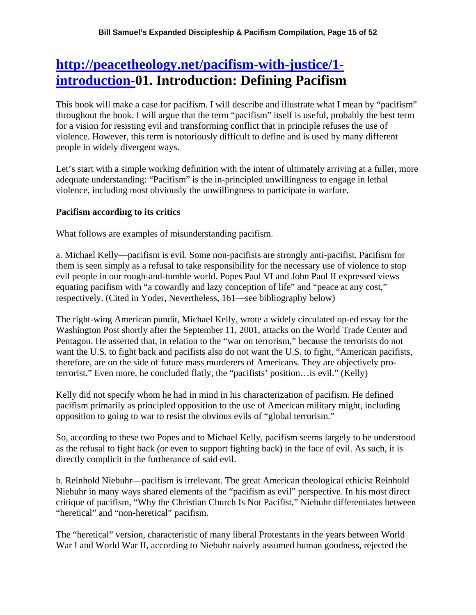# **[http://peacetheology.net/pacifism-with-justice/1](http://peacetheology.net/pacifism-with-justice/1-introduction-defining-pacifism/) [introduction-01. Introduction: Defining Pacifism](http://peacetheology.net/pacifism-with-justice/1-introduction-defining-pacifism/)**

[This book will make a case for pacifism. I will describe and illustrate what I mean by "pacifism"](http://peacetheology.net/pacifism-with-justice/1-introduction-defining-pacifism/)  [throughout the book. I will argue that the term "pacifism" itself is useful, probably the best term](http://peacetheology.net/pacifism-with-justice/1-introduction-defining-pacifism/)  [for a vision for resisting evil and transforming conflict that in principle refuses the use of](http://peacetheology.net/pacifism-with-justice/1-introduction-defining-pacifism/)  [violence. However, this term is notoriously difficult to define and is used by many different](http://peacetheology.net/pacifism-with-justice/1-introduction-defining-pacifism/)  [people in widely divergent ways.](http://peacetheology.net/pacifism-with-justice/1-introduction-defining-pacifism/) 

Let's start with a simple working definition with the intent of ultimately arriving at a fuller, more [adequate understanding: "Pacifism" is the in-principled unwillingness to engage in lethal](http://peacetheology.net/pacifism-with-justice/1-introduction-defining-pacifism/)  [violence, including most obviously the unwillingness to participate in warfare.](http://peacetheology.net/pacifism-with-justice/1-introduction-defining-pacifism/) 

#### **[Pacifism according to its critics](http://peacetheology.net/pacifism-with-justice/1-introduction-defining-pacifism/)**

[What follows are examples of misunderstanding pacifism.](http://peacetheology.net/pacifism-with-justice/1-introduction-defining-pacifism/) 

[a. Michael Kelly—pacifism is evil. Some non-pacifists are strongly anti-pacifist. Pacifism for](http://peacetheology.net/pacifism-with-justice/1-introduction-defining-pacifism/)  [them is seen simply as a refusal to take responsibility for the necessary use of violence to stop](http://peacetheology.net/pacifism-with-justice/1-introduction-defining-pacifism/)  [evil people in our rough-and-tumble world. Popes Paul VI and John Paul II expressed views](http://peacetheology.net/pacifism-with-justice/1-introduction-defining-pacifism/)  [equating pacifism with "a cowardly and lazy conception of life" and "peace at any cost,"](http://peacetheology.net/pacifism-with-justice/1-introduction-defining-pacifism/)  [respectively. \(Cited in Yoder, Nevertheless, 161—see bibliography below\)](http://peacetheology.net/pacifism-with-justice/1-introduction-defining-pacifism/) 

[The right-wing American pundit, Michael Kelly, wrote a widely circulated op-ed essay for the](http://peacetheology.net/pacifism-with-justice/1-introduction-defining-pacifism/)  [Washington Post shortly after the September 11, 2001, attacks on the World Trade Center and](http://peacetheology.net/pacifism-with-justice/1-introduction-defining-pacifism/)  [Pentagon. He asserted that, in relation to the "war on terrorism," because the terrorists do not](http://peacetheology.net/pacifism-with-justice/1-introduction-defining-pacifism/)  [want the U.S. to fight back and pacifists also do not want the U.S. to fight, "American pacifists,](http://peacetheology.net/pacifism-with-justice/1-introduction-defining-pacifism/)  [therefore, are on the side of future mass murderers of Americans. They are objectively pro](http://peacetheology.net/pacifism-with-justice/1-introduction-defining-pacifism/)[terrorist." Even more, he concluded flatly, the "pacifists' position…is evil." \(Kelly\)](http://peacetheology.net/pacifism-with-justice/1-introduction-defining-pacifism/) 

[Kelly did not specify whom he had in mind in his characterization of pacifism. He defined](http://peacetheology.net/pacifism-with-justice/1-introduction-defining-pacifism/)  [pacifism primarily as principled opposition to the use of American military might, including](http://peacetheology.net/pacifism-with-justice/1-introduction-defining-pacifism/)  [opposition to going to war to resist the obvious evils of "global terrorism."](http://peacetheology.net/pacifism-with-justice/1-introduction-defining-pacifism/) 

[So, according to these two Popes and to Michael Kelly, pacifism seems largely to be understood](http://peacetheology.net/pacifism-with-justice/1-introduction-defining-pacifism/)  [as the refusal to fight back \(or even to support fighting back\) in the face of evil. As such, it is](http://peacetheology.net/pacifism-with-justice/1-introduction-defining-pacifism/)  [directly complicit in the furtherance of said evil.](http://peacetheology.net/pacifism-with-justice/1-introduction-defining-pacifism/) 

[b. Reinhold Niebuhr—pacifism is irrelevant. The great American theological ethicist Reinhold](http://peacetheology.net/pacifism-with-justice/1-introduction-defining-pacifism/)  [Niebuhr in many ways shared elements of the "pacifism as evil" perspective. In his most direct](http://peacetheology.net/pacifism-with-justice/1-introduction-defining-pacifism/)  [critique of pacifism, "Why the Christian Church Is Not Pacifist," Niebuhr differentiates between](http://peacetheology.net/pacifism-with-justice/1-introduction-defining-pacifism/)  "heretical" and "non-heretical" pacifism.

[The "heretical" version, characteristic of many liberal Protestants in the years between World](http://peacetheology.net/pacifism-with-justice/1-introduction-defining-pacifism/)  War I and World War II, according to Niebuhr naively assumed human goodness, rejected the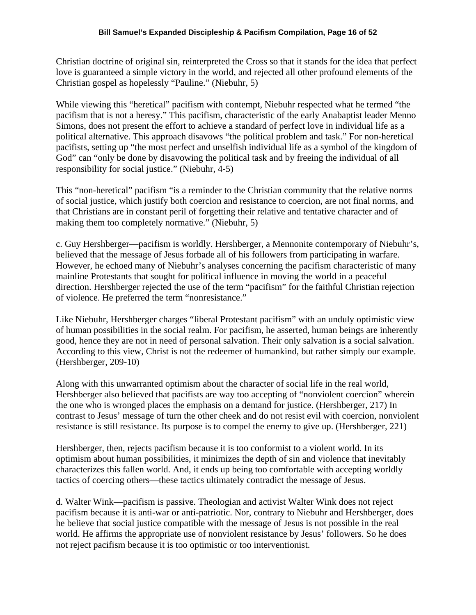[Christian doctrine of original sin, reinterpreted the Cross so that it stands for the idea that perfect](http://peacetheology.net/pacifism-with-justice/1-introduction-defining-pacifism/)  [love is guaranteed a simple victory in the world, and rejected all other profound elements of the](http://peacetheology.net/pacifism-with-justice/1-introduction-defining-pacifism/)  [Christian gospel as hopelessly "Pauline." \(Niebuhr, 5\)](http://peacetheology.net/pacifism-with-justice/1-introduction-defining-pacifism/) 

[While viewing this "heretical" pacifism with contempt, Niebuhr respected what he termed "the](http://peacetheology.net/pacifism-with-justice/1-introduction-defining-pacifism/)  [pacifism that is not a heresy." This pacifism, characteristic of the early Anabaptist leader Menno](http://peacetheology.net/pacifism-with-justice/1-introduction-defining-pacifism/)  [Simons, does not present the effort to achieve a standard of perfect love in individual life as a](http://peacetheology.net/pacifism-with-justice/1-introduction-defining-pacifism/)  [political alternative. This approach disavows "the political problem and task." For non-heretical](http://peacetheology.net/pacifism-with-justice/1-introduction-defining-pacifism/)  [pacifists, setting up "the most perfect and unselfish individual life as a symbol of the kingdom of](http://peacetheology.net/pacifism-with-justice/1-introduction-defining-pacifism/)  [God" can "only be done by disavowing the political task and by freeing the individual of all](http://peacetheology.net/pacifism-with-justice/1-introduction-defining-pacifism/)  [responsibility for social justice." \(Niebuhr, 4-5\)](http://peacetheology.net/pacifism-with-justice/1-introduction-defining-pacifism/) 

[This "non-heretical" pacifism "is a reminder to the Christian community that the relative norms](http://peacetheology.net/pacifism-with-justice/1-introduction-defining-pacifism/)  [of social justice, which justify both coercion and resistance to coercion, are not final norms, and](http://peacetheology.net/pacifism-with-justice/1-introduction-defining-pacifism/)  [that Christians are in constant peril of forgetting their relative and tentative character and of](http://peacetheology.net/pacifism-with-justice/1-introduction-defining-pacifism/)  [making them too completely normative." \(Niebuhr, 5\)](http://peacetheology.net/pacifism-with-justice/1-introduction-defining-pacifism/) 

[c. Guy Hershberger—pacifism is worldly. Hershberger, a Mennonite contemporary of Niebuhr's,](http://peacetheology.net/pacifism-with-justice/1-introduction-defining-pacifism/)  [believed that the message of Jesus forbade all of his followers from participating in warfare.](http://peacetheology.net/pacifism-with-justice/1-introduction-defining-pacifism/)  [However, he echoed many of Niebuhr's analyses concerning the pacifism characteristic of many](http://peacetheology.net/pacifism-with-justice/1-introduction-defining-pacifism/)  [mainline Protestants that sought for political influence in moving the world in a peaceful](http://peacetheology.net/pacifism-with-justice/1-introduction-defining-pacifism/)  [direction. Hershberger rejected the use of the term "pacifism" for the faithful Christian rejection](http://peacetheology.net/pacifism-with-justice/1-introduction-defining-pacifism/)  [of violence. He preferred the term "nonresistance."](http://peacetheology.net/pacifism-with-justice/1-introduction-defining-pacifism/) 

[Like Niebuhr, Hershberger charges "liberal Protestant pacifism" with an unduly optimistic view](http://peacetheology.net/pacifism-with-justice/1-introduction-defining-pacifism/)  [of human possibilities in the social realm. For pacifism, he asserted, human beings are inherently](http://peacetheology.net/pacifism-with-justice/1-introduction-defining-pacifism/)  [good, hence they are not in need of personal salvation. Their only salvation is a social salvation.](http://peacetheology.net/pacifism-with-justice/1-introduction-defining-pacifism/)  [According to this view, Christ is not the redeemer of humankind, but rather simply our example.](http://peacetheology.net/pacifism-with-justice/1-introduction-defining-pacifism/)  [\(Hershberger, 209-10\)](http://peacetheology.net/pacifism-with-justice/1-introduction-defining-pacifism/) 

[Along with this unwarranted optimism about the character of social life in the real world,](http://peacetheology.net/pacifism-with-justice/1-introduction-defining-pacifism/)  [Hershberger also believed that pacifists are way too accepting of "nonviolent coercion" wherein](http://peacetheology.net/pacifism-with-justice/1-introduction-defining-pacifism/)  [the one who is wronged places the emphasis on a demand for justice. \(Hershberger, 217\) In](http://peacetheology.net/pacifism-with-justice/1-introduction-defining-pacifism/)  [contrast to Jesus' message of turn the other cheek and do not resist evil with coercion, nonviolent](http://peacetheology.net/pacifism-with-justice/1-introduction-defining-pacifism/)  [resistance is still resistance. Its purpose is to compel the enemy to give up. \(Hershberger, 221\)](http://peacetheology.net/pacifism-with-justice/1-introduction-defining-pacifism/) 

[Hershberger, then, rejects pacifism because it is too conformist to a violent world. In its](http://peacetheology.net/pacifism-with-justice/1-introduction-defining-pacifism/)  [optimism about human possibilities, it minimizes the depth of sin and violence that inevitably](http://peacetheology.net/pacifism-with-justice/1-introduction-defining-pacifism/)  [characterizes this fallen world. And, it ends up being too comfortable with accepting worldly](http://peacetheology.net/pacifism-with-justice/1-introduction-defining-pacifism/)  [tactics of coercing others—these tactics ultimately contradict the message of Jesus.](http://peacetheology.net/pacifism-with-justice/1-introduction-defining-pacifism/) 

[d. Walter Wink—pacifism is passive. Theologian and activist Walter Wink does not reject](http://peacetheology.net/pacifism-with-justice/1-introduction-defining-pacifism/)  [pacifism because it is anti-war or anti-patriotic. Nor, contrary to Niebuhr and Hershberger, does](http://peacetheology.net/pacifism-with-justice/1-introduction-defining-pacifism/)  [he believe that social justice compatible with the message of Jesus is not possible in the real](http://peacetheology.net/pacifism-with-justice/1-introduction-defining-pacifism/)  [world. He affirms the appropriate use of nonviolent resistance by Jesus' followers. So he does](http://peacetheology.net/pacifism-with-justice/1-introduction-defining-pacifism/)  [not reject pacifism because it is too optimistic or too interventionist.](http://peacetheology.net/pacifism-with-justice/1-introduction-defining-pacifism/)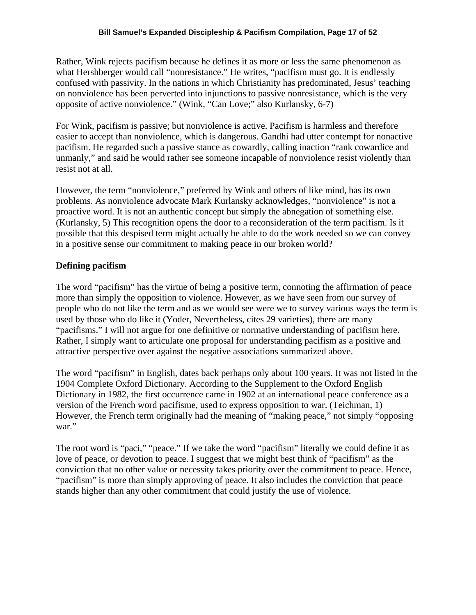[Rather, Wink rejects pacifism because he defines it as more or less the same phenomenon as](http://peacetheology.net/pacifism-with-justice/1-introduction-defining-pacifism/)  [what Hershberger would call "nonresistance." He writes, "pacifism must go. It is endlessly](http://peacetheology.net/pacifism-with-justice/1-introduction-defining-pacifism/)  [confused with passivity. In the nations in which Christianity has predominated, Jesus' teaching](http://peacetheology.net/pacifism-with-justice/1-introduction-defining-pacifism/)  [on nonviolence has been perverted into injunctions to passive nonresistance, which is the very](http://peacetheology.net/pacifism-with-justice/1-introduction-defining-pacifism/)  [opposite of active nonviolence." \(Wink, "Can Love;" also Kurlansky, 6-7\)](http://peacetheology.net/pacifism-with-justice/1-introduction-defining-pacifism/) 

[For Wink, pacifism is passive; but nonviolence is active. Pacifism is harmless and therefore](http://peacetheology.net/pacifism-with-justice/1-introduction-defining-pacifism/)  [easier to accept than nonviolence, which is dangerous. Gandhi had utter contempt for nonactive](http://peacetheology.net/pacifism-with-justice/1-introduction-defining-pacifism/)  [pacifism. He regarded such a passive stance as cowardly, calling inaction "rank cowardice and](http://peacetheology.net/pacifism-with-justice/1-introduction-defining-pacifism/)  [unmanly," and said he would rather see someone incapable of nonviolence resist violently than](http://peacetheology.net/pacifism-with-justice/1-introduction-defining-pacifism/)  [resist not at all.](http://peacetheology.net/pacifism-with-justice/1-introduction-defining-pacifism/) 

[However, the term "nonviolence," preferred by Wink and others of like mind, has its own](http://peacetheology.net/pacifism-with-justice/1-introduction-defining-pacifism/)  [problems. As nonviolence advocate Mark Kurlansky acknowledges, "nonviolence" is not a](http://peacetheology.net/pacifism-with-justice/1-introduction-defining-pacifism/)  [proactive word. It is not an authentic concept but simply the abnegation of something else.](http://peacetheology.net/pacifism-with-justice/1-introduction-defining-pacifism/)  [\(Kurlansky, 5\) This recognition opens the door to a reconsideration of the term pacifism. Is it](http://peacetheology.net/pacifism-with-justice/1-introduction-defining-pacifism/)  [possible that this despised term might actually be able to do the work needed so we can convey](http://peacetheology.net/pacifism-with-justice/1-introduction-defining-pacifism/)  [in a positive sense our commitment to making peace in our broken world?](http://peacetheology.net/pacifism-with-justice/1-introduction-defining-pacifism/) 

# **[Defining pacifism](http://peacetheology.net/pacifism-with-justice/1-introduction-defining-pacifism/)**

[The word "pacifism" has the virtue of being a positive term, connoting the affirmation of peace](http://peacetheology.net/pacifism-with-justice/1-introduction-defining-pacifism/)  [more than simply the opposition to violence. However, as we have seen from our survey of](http://peacetheology.net/pacifism-with-justice/1-introduction-defining-pacifism/)  [people who do not like the term and as we would see were we to survey various ways the term is](http://peacetheology.net/pacifism-with-justice/1-introduction-defining-pacifism/)  [used by those who do like it \(Yoder, Nevertheless, cites 29 varieties\), there are many](http://peacetheology.net/pacifism-with-justice/1-introduction-defining-pacifism/)  ["pacifisms." I will not argue for one definitive or normative understanding of pacifism here.](http://peacetheology.net/pacifism-with-justice/1-introduction-defining-pacifism/)  [Rather, I simply want to articulate one proposal for understanding pacifism as a positive and](http://peacetheology.net/pacifism-with-justice/1-introduction-defining-pacifism/)  [attractive perspective over against the negative associations summarized above.](http://peacetheology.net/pacifism-with-justice/1-introduction-defining-pacifism/) 

[The word "pacifism" in English, dates back perhaps only about 100 years. It was not listed in the](http://peacetheology.net/pacifism-with-justice/1-introduction-defining-pacifism/)  [1904 Complete Oxford Dictionary. According to the Supplement to the Oxford English](http://peacetheology.net/pacifism-with-justice/1-introduction-defining-pacifism/)  [Dictionary in 1982, the first occurrence came in 1902 at an international peace conference as a](http://peacetheology.net/pacifism-with-justice/1-introduction-defining-pacifism/)  [version of the French word pacifisme, used to express opposition to war. \(Teichman, 1\)](http://peacetheology.net/pacifism-with-justice/1-introduction-defining-pacifism/)  [However, the French term originally had the meaning of "making peace," not simply "opposing](http://peacetheology.net/pacifism-with-justice/1-introduction-defining-pacifism/)  war."

[The root word is "paci," "peace." If we take the word "pacifism" literally we could define it as](http://peacetheology.net/pacifism-with-justice/1-introduction-defining-pacifism/)  [love of peace, or devotion to peace. I suggest that we might best think of "pacifism" as the](http://peacetheology.net/pacifism-with-justice/1-introduction-defining-pacifism/)  [conviction that no other value or necessity takes priority over the commitment to peace. Hence,](http://peacetheology.net/pacifism-with-justice/1-introduction-defining-pacifism/)  ["pacifism" is more than simply approving of peace. It also includes the conviction that peace](http://peacetheology.net/pacifism-with-justice/1-introduction-defining-pacifism/)  [stands higher than any other commitment that could justify the use of violence.](http://peacetheology.net/pacifism-with-justice/1-introduction-defining-pacifism/)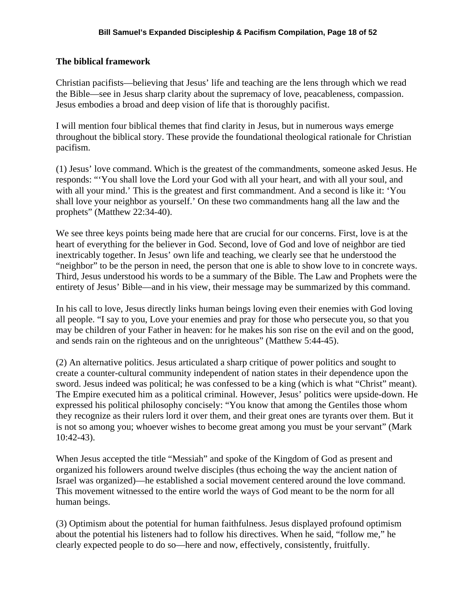# **[The biblical framework](http://peacetheology.net/pacifism-with-justice/1-introduction-defining-pacifism/)**

[Christian pacifists—believing that Jesus' life and teaching are the lens through which we read](http://peacetheology.net/pacifism-with-justice/1-introduction-defining-pacifism/)  [the Bible—see in Jesus sharp clarity about the supremacy of love, peacableness, compassion.](http://peacetheology.net/pacifism-with-justice/1-introduction-defining-pacifism/)  [Jesus embodies a broad and deep vision of life that is thoroughly pacifist.](http://peacetheology.net/pacifism-with-justice/1-introduction-defining-pacifism/) 

[I will mention four biblical themes that find clarity in Jesus, but in numerous ways emerge](http://peacetheology.net/pacifism-with-justice/1-introduction-defining-pacifism/)  [throughout the biblical story. These provide the foundational theological rationale for Christian](http://peacetheology.net/pacifism-with-justice/1-introduction-defining-pacifism/)  [pacifism.](http://peacetheology.net/pacifism-with-justice/1-introduction-defining-pacifism/) 

[\(1\) Jesus' love command. Which is the greatest of the commandments, someone asked Jesus. He](http://peacetheology.net/pacifism-with-justice/1-introduction-defining-pacifism/)  [responds: "'You shall love the Lord your God with all your heart, and with all your soul, and](http://peacetheology.net/pacifism-with-justice/1-introduction-defining-pacifism/)  [with all your mind.' This is the greatest and first commandment. And a second is like it: 'You](http://peacetheology.net/pacifism-with-justice/1-introduction-defining-pacifism/)  [shall love your neighbor as yourself.' On these two commandments hang all the law and the](http://peacetheology.net/pacifism-with-justice/1-introduction-defining-pacifism/)  [prophets" \(Matthew 22:34-40\).](http://peacetheology.net/pacifism-with-justice/1-introduction-defining-pacifism/) 

[We see three keys points being made here that are crucial for our concerns. First, love is at the](http://peacetheology.net/pacifism-with-justice/1-introduction-defining-pacifism/)  [heart of everything for the believer in God. Second, love of God and love of neighbor are tied](http://peacetheology.net/pacifism-with-justice/1-introduction-defining-pacifism/)  [inextricably together. In Jesus' own life and teaching, we clearly see that he understood the](http://peacetheology.net/pacifism-with-justice/1-introduction-defining-pacifism/)  ["neighbor" to be the person in need, the person that one is able to show love to in concrete ways.](http://peacetheology.net/pacifism-with-justice/1-introduction-defining-pacifism/)  [Third, Jesus understood his words to be a summary of the Bible. The Law and Prophets were the](http://peacetheology.net/pacifism-with-justice/1-introduction-defining-pacifism/)  [entirety of Jesus' Bible—and in his view, their message may be summarized by this command.](http://peacetheology.net/pacifism-with-justice/1-introduction-defining-pacifism/) 

[In his call to love, Jesus directly links human beings loving even their enemies with God loving](http://peacetheology.net/pacifism-with-justice/1-introduction-defining-pacifism/)  [all people. "I say to you, Love your enemies and pray for those who persecute you, so that you](http://peacetheology.net/pacifism-with-justice/1-introduction-defining-pacifism/)  [may be children of your Father in heaven: for he makes his son rise on the evil and on the good,](http://peacetheology.net/pacifism-with-justice/1-introduction-defining-pacifism/)  [and sends rain on the righteous and on the unrighteous" \(Matthew 5:44-45\).](http://peacetheology.net/pacifism-with-justice/1-introduction-defining-pacifism/) 

[\(2\) An alternative politics. Jesus articulated a sharp critique of power politics and sought to](http://peacetheology.net/pacifism-with-justice/1-introduction-defining-pacifism/)  [create a counter-cultural community independent of nation states in their dependence upon the](http://peacetheology.net/pacifism-with-justice/1-introduction-defining-pacifism/)  [sword. Jesus indeed was political; he was confessed to be a king \(which is what "Christ" meant\).](http://peacetheology.net/pacifism-with-justice/1-introduction-defining-pacifism/)  [The Empire executed him as a political criminal. However, Jesus' politics were upside-down. He](http://peacetheology.net/pacifism-with-justice/1-introduction-defining-pacifism/)  [expressed his political philosophy concisely: "You know that among the Gentiles those whom](http://peacetheology.net/pacifism-with-justice/1-introduction-defining-pacifism/)  [they recognize as their rulers lord it over them, and their great ones are tyrants over them. But it](http://peacetheology.net/pacifism-with-justice/1-introduction-defining-pacifism/)  [is not so among you; whoever wishes to become great among you must be your servant" \(Mark](http://peacetheology.net/pacifism-with-justice/1-introduction-defining-pacifism/)  [10:42-43\).](http://peacetheology.net/pacifism-with-justice/1-introduction-defining-pacifism/) 

[When Jesus accepted the title "Messiah" and spoke of the Kingdom of God as present and](http://peacetheology.net/pacifism-with-justice/1-introduction-defining-pacifism/)  [organized his followers around twelve disciples \(thus echoing the way the ancient nation of](http://peacetheology.net/pacifism-with-justice/1-introduction-defining-pacifism/)  [Israel was organized\)—he established a social movement centered around the love command.](http://peacetheology.net/pacifism-with-justice/1-introduction-defining-pacifism/)  [This movement witnessed to the entire world the ways of God meant to be the norm for all](http://peacetheology.net/pacifism-with-justice/1-introduction-defining-pacifism/)  [human beings.](http://peacetheology.net/pacifism-with-justice/1-introduction-defining-pacifism/) 

[\(3\) Optimism about the potential for human faithfulness. Jesus displayed profound optimism](http://peacetheology.net/pacifism-with-justice/1-introduction-defining-pacifism/)  [about the potential his listeners had to follow his directives. When he said, "follow me," he](http://peacetheology.net/pacifism-with-justice/1-introduction-defining-pacifism/)  [clearly expected people to do so—here and now, effectively, consistently, fruitfully.](http://peacetheology.net/pacifism-with-justice/1-introduction-defining-pacifism/)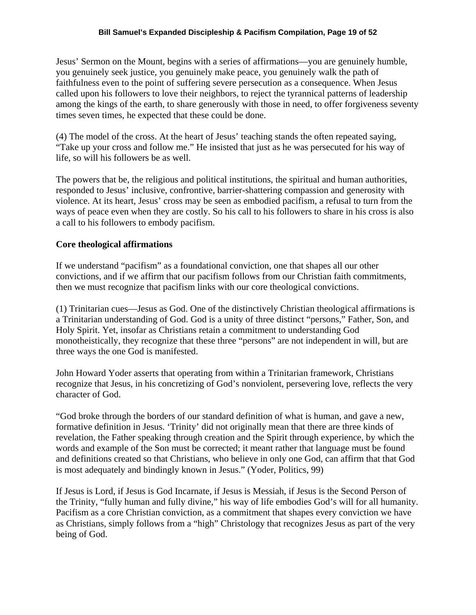[Jesus' Sermon on the Mount, begins with a series of affirmations—you are genuinely humble,](http://peacetheology.net/pacifism-with-justice/1-introduction-defining-pacifism/)  [you genuinely seek justice, you genuinely make peace, you genuinely walk the path of](http://peacetheology.net/pacifism-with-justice/1-introduction-defining-pacifism/)  [faithfulness even to the point of suffering severe persecution as a consequence. When Jesus](http://peacetheology.net/pacifism-with-justice/1-introduction-defining-pacifism/)  [called upon his followers to love their neighbors, to reject the tyrannical patterns of leadership](http://peacetheology.net/pacifism-with-justice/1-introduction-defining-pacifism/)  [among the kings of the earth, to share generously with those in need, to offer forgiveness seventy](http://peacetheology.net/pacifism-with-justice/1-introduction-defining-pacifism/)  [times seven times, he expected that these could be done.](http://peacetheology.net/pacifism-with-justice/1-introduction-defining-pacifism/) 

[\(4\) The model of the cross. At the heart of Jesus' teaching stands the often repeated saying,](http://peacetheology.net/pacifism-with-justice/1-introduction-defining-pacifism/)  ["Take up your cross and follow me." He insisted that just as he was persecuted for his way of](http://peacetheology.net/pacifism-with-justice/1-introduction-defining-pacifism/)  [life, so will his followers be as well.](http://peacetheology.net/pacifism-with-justice/1-introduction-defining-pacifism/) 

[The powers that be, the religious and political institutions, the spiritual and human authorities,](http://peacetheology.net/pacifism-with-justice/1-introduction-defining-pacifism/)  [responded to Jesus' inclusive, confrontive, barrier-shattering compassion and generosity with](http://peacetheology.net/pacifism-with-justice/1-introduction-defining-pacifism/)  [violence. At its heart, Jesus' cross may be seen as embodied pacifism, a refusal to turn from the](http://peacetheology.net/pacifism-with-justice/1-introduction-defining-pacifism/)  [ways of peace even when they are costly. So his call to his followers to share in his cross is also](http://peacetheology.net/pacifism-with-justice/1-introduction-defining-pacifism/)  [a call to his followers to embody pacifism.](http://peacetheology.net/pacifism-with-justice/1-introduction-defining-pacifism/) 

# **[Core theological affirmations](http://peacetheology.net/pacifism-with-justice/1-introduction-defining-pacifism/)**

[If we understand "pacifism" as a foundational conviction, one that shapes all our other](http://peacetheology.net/pacifism-with-justice/1-introduction-defining-pacifism/)  [convictions, and if we affirm that our pacifism follows from our Christian faith commitments,](http://peacetheology.net/pacifism-with-justice/1-introduction-defining-pacifism/)  [then we must recognize that pacifism links with our core theological convictions.](http://peacetheology.net/pacifism-with-justice/1-introduction-defining-pacifism/) 

[\(1\) Trinitarian cues—Jesus as God. One of the distinctively Christian theological affirmations is](http://peacetheology.net/pacifism-with-justice/1-introduction-defining-pacifism/)  [a Trinitarian understanding of God. God is a unity of three distinct "persons," Father, Son, and](http://peacetheology.net/pacifism-with-justice/1-introduction-defining-pacifism/)  [Holy Spirit. Yet, insofar as Christians retain a commitment to understanding God](http://peacetheology.net/pacifism-with-justice/1-introduction-defining-pacifism/)  [monotheistically, they recognize that these three "persons" are not independent in will, but are](http://peacetheology.net/pacifism-with-justice/1-introduction-defining-pacifism/)  [three ways the one God is manifested.](http://peacetheology.net/pacifism-with-justice/1-introduction-defining-pacifism/) 

[John Howard Yoder asserts that operating from within a Trinitarian framework, Christians](http://peacetheology.net/pacifism-with-justice/1-introduction-defining-pacifism/)  [recognize that Jesus, in his concretizing of God's nonviolent, persevering love, reflects the very](http://peacetheology.net/pacifism-with-justice/1-introduction-defining-pacifism/)  [character of God.](http://peacetheology.net/pacifism-with-justice/1-introduction-defining-pacifism/) 

["God broke through the borders of our standard definition of what is human, and gave a new,](http://peacetheology.net/pacifism-with-justice/1-introduction-defining-pacifism/)  [formative definition in Jesus. 'Trinity' did not originally mean that there are three kinds of](http://peacetheology.net/pacifism-with-justice/1-introduction-defining-pacifism/)  [revelation, the Father speaking through creation and the Spirit through experience, by which the](http://peacetheology.net/pacifism-with-justice/1-introduction-defining-pacifism/)  [words and example of the Son must be corrected; it meant rather that language must be found](http://peacetheology.net/pacifism-with-justice/1-introduction-defining-pacifism/)  [and definitions created so that Christians, who believe in only one God, can affirm that that God](http://peacetheology.net/pacifism-with-justice/1-introduction-defining-pacifism/)  [is most adequately and bindingly known in Jesus." \(Yoder, Politics, 99\)](http://peacetheology.net/pacifism-with-justice/1-introduction-defining-pacifism/) 

[If Jesus is Lord, if Jesus is God Incarnate, if Jesus is Messiah, if Jesus is the Second Person of](http://peacetheology.net/pacifism-with-justice/1-introduction-defining-pacifism/)  [the Trinity, "fully human and fully divine," his way of life embodies God's will for all humanity.](http://peacetheology.net/pacifism-with-justice/1-introduction-defining-pacifism/)  [Pacifism as a core Christian conviction, as a commitment that shapes every conviction we have](http://peacetheology.net/pacifism-with-justice/1-introduction-defining-pacifism/)  [as Christians, simply follows from a "high" Christology that recognizes Jesus as part of the very](http://peacetheology.net/pacifism-with-justice/1-introduction-defining-pacifism/)  [being of God.](http://peacetheology.net/pacifism-with-justice/1-introduction-defining-pacifism/)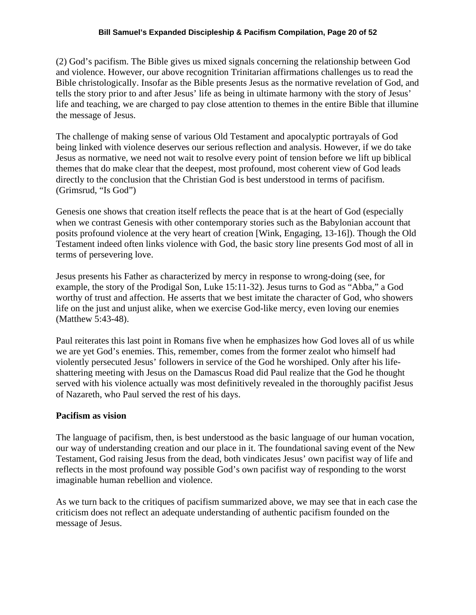#### **Bill Samuel's Expanded Discipleship & Pacifism Compilation, Page 20 of 52**

[\(2\) God's pacifism. The Bible gives us mixed signals concerning the relationship between God](http://peacetheology.net/pacifism-with-justice/1-introduction-defining-pacifism/)  [and violence. However, our above recognition Trinitarian affirmations challenges us to read the](http://peacetheology.net/pacifism-with-justice/1-introduction-defining-pacifism/)  [Bible christologically. Insofar as the Bible presents Jesus as the normative revelation of God, and](http://peacetheology.net/pacifism-with-justice/1-introduction-defining-pacifism/)  [tells the story prior to and after Jesus' life as being in ultimate harmony with the story of Jesus'](http://peacetheology.net/pacifism-with-justice/1-introduction-defining-pacifism/)  [life and teaching, we are charged to pay close attention to themes in the entire Bible that illumine](http://peacetheology.net/pacifism-with-justice/1-introduction-defining-pacifism/)  [the message of Jesus.](http://peacetheology.net/pacifism-with-justice/1-introduction-defining-pacifism/) 

[The challenge of making sense of various Old Testament and apocalyptic portrayals of God](http://peacetheology.net/pacifism-with-justice/1-introduction-defining-pacifism/)  [being linked with violence deserves our serious reflection and analysis. However, if we do take](http://peacetheology.net/pacifism-with-justice/1-introduction-defining-pacifism/)  [Jesus as normative, we need not wait to resolve every point of tension before we lift up biblical](http://peacetheology.net/pacifism-with-justice/1-introduction-defining-pacifism/)  [themes that do make clear that the deepest, most profound, most coherent view of God leads](http://peacetheology.net/pacifism-with-justice/1-introduction-defining-pacifism/)  [directly to the conclusion that the Christian God is best understood in terms of pacifism.](http://peacetheology.net/pacifism-with-justice/1-introduction-defining-pacifism/)  [\(Grimsrud, "Is God"\)](http://peacetheology.net/pacifism-with-justice/1-introduction-defining-pacifism/) 

[Genesis one shows that creation itself reflects the peace that is at the heart of God \(especially](http://peacetheology.net/pacifism-with-justice/1-introduction-defining-pacifism/)  [when we contrast Genesis with other contemporary stories such as the Babylonian account that](http://peacetheology.net/pacifism-with-justice/1-introduction-defining-pacifism/)  [posits profound violence at the very heart of creation \[Wink, Engaging, 13-16\]\). Though the Old](http://peacetheology.net/pacifism-with-justice/1-introduction-defining-pacifism/)  [Testament indeed often links violence with God, the basic story line presents God most of all in](http://peacetheology.net/pacifism-with-justice/1-introduction-defining-pacifism/)  [terms of persevering love.](http://peacetheology.net/pacifism-with-justice/1-introduction-defining-pacifism/) 

[Jesus presents his Father as characterized by mercy in response to wrong-doing \(see, for](http://peacetheology.net/pacifism-with-justice/1-introduction-defining-pacifism/)  [example, the story of the Prodigal Son, Luke 15:11-32\). Jesus turns to God as "Abba," a God](http://peacetheology.net/pacifism-with-justice/1-introduction-defining-pacifism/)  [worthy of trust and affection. He asserts that we best imitate the character of God, who showers](http://peacetheology.net/pacifism-with-justice/1-introduction-defining-pacifism/)  [life on the just and unjust alike, when we exercise God-like mercy, even loving our enemies](http://peacetheology.net/pacifism-with-justice/1-introduction-defining-pacifism/)  [\(Matthew 5:43-48\).](http://peacetheology.net/pacifism-with-justice/1-introduction-defining-pacifism/) 

[Paul reiterates this last point in Romans five when he emphasizes how God loves all of us while](http://peacetheology.net/pacifism-with-justice/1-introduction-defining-pacifism/)  [we are yet God's enemies. This, remember, comes from the former zealot who himself had](http://peacetheology.net/pacifism-with-justice/1-introduction-defining-pacifism/)  [violently persecuted Jesus' followers in service of the God he worshiped. Only after his life](http://peacetheology.net/pacifism-with-justice/1-introduction-defining-pacifism/)[shattering meeting with Jesus on the Damascus Road did Paul realize that the God he thought](http://peacetheology.net/pacifism-with-justice/1-introduction-defining-pacifism/)  [served with his violence actually was most definitively revealed in the thoroughly pacifist Jesus](http://peacetheology.net/pacifism-with-justice/1-introduction-defining-pacifism/)  [of Nazareth, who Paul served the rest of his days.](http://peacetheology.net/pacifism-with-justice/1-introduction-defining-pacifism/) 

#### **[Pacifism as vision](http://peacetheology.net/pacifism-with-justice/1-introduction-defining-pacifism/)**

[The language of pacifism, then, is best understood as the basic language of our human vocation,](http://peacetheology.net/pacifism-with-justice/1-introduction-defining-pacifism/)  [our way of understanding creation and our place in it. The foundational saving event of the New](http://peacetheology.net/pacifism-with-justice/1-introduction-defining-pacifism/)  [Testament, God raising Jesus from the dead, both vindicates Jesus' own pacifist way of life and](http://peacetheology.net/pacifism-with-justice/1-introduction-defining-pacifism/)  [reflects in the most profound way possible God's own pacifist way of responding to the worst](http://peacetheology.net/pacifism-with-justice/1-introduction-defining-pacifism/)  [imaginable human rebellion and violence.](http://peacetheology.net/pacifism-with-justice/1-introduction-defining-pacifism/) 

[As we turn back to the critiques of pacifism summarized above, we may see that in each case the](http://peacetheology.net/pacifism-with-justice/1-introduction-defining-pacifism/)  [criticism does not reflect an adequate understanding of authentic pacifism founded on the](http://peacetheology.net/pacifism-with-justice/1-introduction-defining-pacifism/)  [message of Jesus.](http://peacetheology.net/pacifism-with-justice/1-introduction-defining-pacifism/)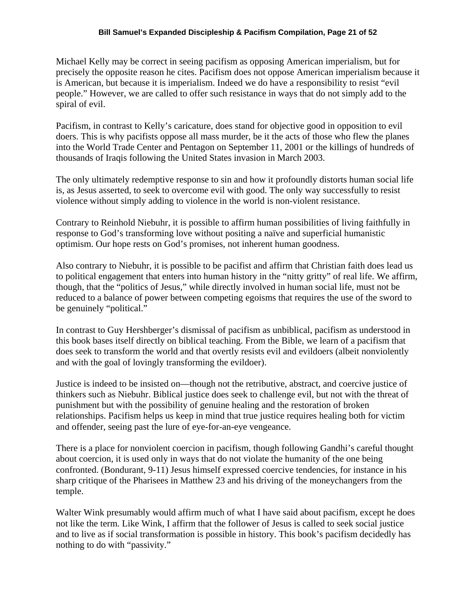#### **Bill Samuel's Expanded Discipleship & Pacifism Compilation, Page 21 of 52**

[Michael Kelly may be correct in seeing pacifism as opposing American imperialism, but for](http://peacetheology.net/pacifism-with-justice/1-introduction-defining-pacifism/)  [precisely the opposite reason he cites. Pacifism does not oppose American imperialism because it](http://peacetheology.net/pacifism-with-justice/1-introduction-defining-pacifism/)  [is American, but because it is imperialism. Indeed we do have a responsibility to resist "evil](http://peacetheology.net/pacifism-with-justice/1-introduction-defining-pacifism/)  [people." However, we are called to offer such resistance in ways that do not simply add to the](http://peacetheology.net/pacifism-with-justice/1-introduction-defining-pacifism/)  [spiral of evil.](http://peacetheology.net/pacifism-with-justice/1-introduction-defining-pacifism/) 

[Pacifism, in contrast to Kelly's caricature, does stand for objective good in opposition to evil](http://peacetheology.net/pacifism-with-justice/1-introduction-defining-pacifism/)  [doers. This is why pacifists oppose all mass murder, be it the acts of those who flew the planes](http://peacetheology.net/pacifism-with-justice/1-introduction-defining-pacifism/)  [into the World Trade Center and Pentagon on September 11, 2001 or the killings of hundreds of](http://peacetheology.net/pacifism-with-justice/1-introduction-defining-pacifism/)  [thousands of Iraqis following the United States invasion in March 2003.](http://peacetheology.net/pacifism-with-justice/1-introduction-defining-pacifism/) 

[The only ultimately redemptive response to sin and how it profoundly distorts human social life](http://peacetheology.net/pacifism-with-justice/1-introduction-defining-pacifism/)  [is, as Jesus asserted, to seek to overcome evil with good. The only way successfully to resist](http://peacetheology.net/pacifism-with-justice/1-introduction-defining-pacifism/)  [violence without simply adding to violence in the world is non-violent resistance.](http://peacetheology.net/pacifism-with-justice/1-introduction-defining-pacifism/) 

[Contrary to Reinhold Niebuhr, it is possible to affirm human possibilities of living faithfully in](http://peacetheology.net/pacifism-with-justice/1-introduction-defining-pacifism/)  [response to God's transforming love without positing a naïve and superficial humanistic](http://peacetheology.net/pacifism-with-justice/1-introduction-defining-pacifism/)  [optimism. Our hope rests on God's promises, not inherent human goodness.](http://peacetheology.net/pacifism-with-justice/1-introduction-defining-pacifism/) 

[Also contrary to Niebuhr, it is possible to be pacifist and affirm that Christian faith does lead us](http://peacetheology.net/pacifism-with-justice/1-introduction-defining-pacifism/)  [to political engagement that enters into human history in the "nitty gritty" of real life. We affirm,](http://peacetheology.net/pacifism-with-justice/1-introduction-defining-pacifism/)  [though, that the "politics of Jesus," while directly involved in human social life, must not be](http://peacetheology.net/pacifism-with-justice/1-introduction-defining-pacifism/)  [reduced to a balance of power between competing egoisms that requires the use of the sword to](http://peacetheology.net/pacifism-with-justice/1-introduction-defining-pacifism/)  [be genuinely "political."](http://peacetheology.net/pacifism-with-justice/1-introduction-defining-pacifism/) 

[In contrast to Guy Hershberger's dismissal of pacifism as unbiblical, pacifism as understood in](http://peacetheology.net/pacifism-with-justice/1-introduction-defining-pacifism/)  [this book bases itself directly on biblical teaching. From the Bible, we learn of a pacifism that](http://peacetheology.net/pacifism-with-justice/1-introduction-defining-pacifism/)  [does seek to transform the world and that overtly resists evil and evildoers \(albeit nonviolently](http://peacetheology.net/pacifism-with-justice/1-introduction-defining-pacifism/)  [and with the goal of lovingly transforming the evildoer\).](http://peacetheology.net/pacifism-with-justice/1-introduction-defining-pacifism/) 

[Justice is indeed to be insisted on—though not the retributive, abstract, and coercive justice of](http://peacetheology.net/pacifism-with-justice/1-introduction-defining-pacifism/)  [thinkers such as Niebuhr. Biblical justice does seek to challenge evil, but not with the threat of](http://peacetheology.net/pacifism-with-justice/1-introduction-defining-pacifism/)  [punishment but with the possibility of genuine healing and the restoration of broken](http://peacetheology.net/pacifism-with-justice/1-introduction-defining-pacifism/)  [relationships. Pacifism helps us keep in mind that true justice requires healing both for victim](http://peacetheology.net/pacifism-with-justice/1-introduction-defining-pacifism/)  [and offender, seeing past the lure of eye-for-an-eye vengeance.](http://peacetheology.net/pacifism-with-justice/1-introduction-defining-pacifism/) 

[There is a place for nonviolent coercion in pacifism, though following Gandhi's careful thought](http://peacetheology.net/pacifism-with-justice/1-introduction-defining-pacifism/)  [about coercion, it is used only in ways that do not violate the humanity of the one being](http://peacetheology.net/pacifism-with-justice/1-introduction-defining-pacifism/)  [confronted. \(Bondurant, 9-11\) Jesus himself expressed coercive tendencies, for instance in his](http://peacetheology.net/pacifism-with-justice/1-introduction-defining-pacifism/)  [sharp critique of the Pharisees in Matthew 23 and his driving of the moneychangers from the](http://peacetheology.net/pacifism-with-justice/1-introduction-defining-pacifism/)  [temple.](http://peacetheology.net/pacifism-with-justice/1-introduction-defining-pacifism/) 

[Walter Wink presumably would affirm much of what I have said about pacifism, except he does](http://peacetheology.net/pacifism-with-justice/1-introduction-defining-pacifism/)  [not like the term. Like Wink, I affirm that the follower of Jesus is called to seek social justice](http://peacetheology.net/pacifism-with-justice/1-introduction-defining-pacifism/)  [and to live as if social transformation is possible in history. This book's pacifism decidedly has](http://peacetheology.net/pacifism-with-justice/1-introduction-defining-pacifism/)  [nothing to do with "passivity."](http://peacetheology.net/pacifism-with-justice/1-introduction-defining-pacifism/)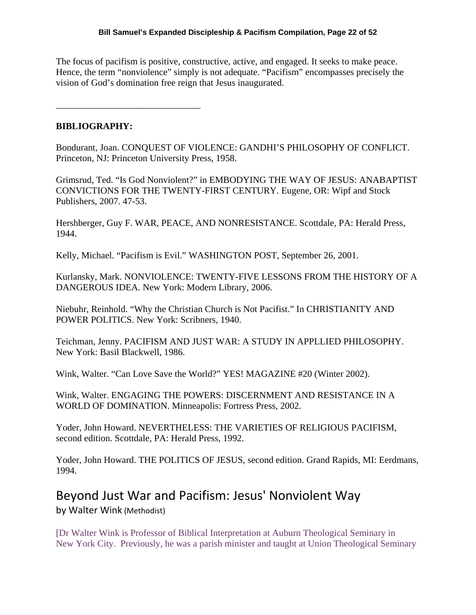[The focus of pacifism is positive, constructive, active, and engaged. It seeks to make peace.](http://peacetheology.net/pacifism-with-justice/1-introduction-defining-pacifism/)  [Hence, the term "nonviolence" simply is not adequate. "Pacifism" encompasses precisely the](http://peacetheology.net/pacifism-with-justice/1-introduction-defining-pacifism/)  [vision of God's domination free reign that Jesus inaugurated.](http://peacetheology.net/pacifism-with-justice/1-introduction-defining-pacifism/) 

#### **[BIBLIOGRAPHY:](http://peacetheology.net/pacifism-with-justice/1-introduction-defining-pacifism/)**

[\\_\\_\\_\\_\\_\\_\\_\\_\\_\\_\\_\\_\\_\\_\\_\\_\\_\\_\\_\\_\\_\\_\\_\\_\\_\\_\\_\\_\\_\\_\\_](http://peacetheology.net/pacifism-with-justice/1-introduction-defining-pacifism/) 

[Bondurant, Joan. CONQUEST OF VIOLENCE: GANDHI'S PHILOSOPHY OF CONFLICT.](http://peacetheology.net/pacifism-with-justice/1-introduction-defining-pacifism/)  [Princeton, NJ: Princeton University Press, 1958.](http://peacetheology.net/pacifism-with-justice/1-introduction-defining-pacifism/) 

[Grimsrud, Ted. "Is God Nonviolent?" in EMBODYING THE WAY OF JESUS: ANABAPTIST](http://peacetheology.net/pacifism-with-justice/1-introduction-defining-pacifism/)  [CONVICTIONS FOR THE TWENTY-FIRST CENTURY. Eugene, OR: Wipf and Stock](http://peacetheology.net/pacifism-with-justice/1-introduction-defining-pacifism/)  [Publishers, 2007. 47-53.](http://peacetheology.net/pacifism-with-justice/1-introduction-defining-pacifism/) 

[Hershberger, Guy F. WAR, PEACE, AND NONRESISTANCE. Scottdale, PA: Herald Press,](http://peacetheology.net/pacifism-with-justice/1-introduction-defining-pacifism/)  [1944.](http://peacetheology.net/pacifism-with-justice/1-introduction-defining-pacifism/) 

[Kelly, Michael. "Pacifism is Evil." WASHINGTON POST, September 26, 2001.](http://peacetheology.net/pacifism-with-justice/1-introduction-defining-pacifism/) 

[Kurlansky, Mark. NONVIOLENCE: TWENTY-FIVE LESSONS FROM THE HISTORY OF A](http://peacetheology.net/pacifism-with-justice/1-introduction-defining-pacifism/)  [DANGEROUS IDEA. New York: Modern Library, 2006.](http://peacetheology.net/pacifism-with-justice/1-introduction-defining-pacifism/) 

[Niebuhr, Reinhold. "Why the Christian Church is Not Pacifist." In CHRISTIANITY AND](http://peacetheology.net/pacifism-with-justice/1-introduction-defining-pacifism/)  [POWER POLITICS. New York: Scribners, 1940.](http://peacetheology.net/pacifism-with-justice/1-introduction-defining-pacifism/) 

[Teichman, Jenny. PACIFISM AND JUST WAR: A STUDY IN APPLLIED PHILOSOPHY.](http://peacetheology.net/pacifism-with-justice/1-introduction-defining-pacifism/)  [New York: Basil Blackwell, 1986.](http://peacetheology.net/pacifism-with-justice/1-introduction-defining-pacifism/) 

[Wink, Walter. "Can Love Save the World?" YES! MAGAZINE #20 \(Winter 2002\).](http://peacetheology.net/pacifism-with-justice/1-introduction-defining-pacifism/) 

[Wink, Walter. ENGAGING THE POWERS: DISCERNMENT AND RESISTANCE IN A](http://peacetheology.net/pacifism-with-justice/1-introduction-defining-pacifism/)  [WORLD OF DOMINATION. Minneapolis: Fortress Press, 2002.](http://peacetheology.net/pacifism-with-justice/1-introduction-defining-pacifism/) 

[Yoder, John Howard. NEVERTHELESS: THE VARIETIES OF RELIGIOUS PACIFISM,](http://peacetheology.net/pacifism-with-justice/1-introduction-defining-pacifism/)  [second edition. Scottdale, PA: Herald Press, 1992.](http://peacetheology.net/pacifism-with-justice/1-introduction-defining-pacifism/) 

[Yoder, John Howard. THE POLITICS OF JESUS, second edition. Grand Rapids, MI: Eerdmans,](http://peacetheology.net/pacifism-with-justice/1-introduction-defining-pacifism/)  [1994.](http://peacetheology.net/pacifism-with-justice/1-introduction-defining-pacifism/)

# Beyond Just War and Pacifism: Jesus' Nonviolent Way

by Walter Wink (Methodist)

[Dr Walter Wink is Professor of Biblical Interpretation at Auburn Theological Seminary in New York City. Previously, he was a parish minister and taught at Union Theological Seminary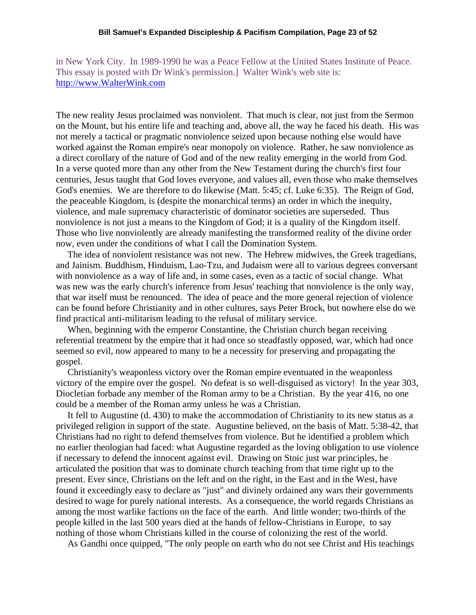in New York City. In 1989-1990 he was a Peace Fellow at the United States Institute of Peace. This essay is posted with Dr Wink's permission.] Walter Wink's web site is: [http://www.WalterWink.com](http://www.walterwink.com/) 

The new reality Jesus proclaimed was nonviolent. That much is clear, not just from the Sermon on the Mount, but his entire life and teaching and, above all, the way he faced his death. His was not merely a tactical or pragmatic nonviolence seized upon because nothing else would have worked against the Roman empire's near monopoly on violence. Rather, he saw nonviolence as a direct corollary of the nature of God and of the new reality emerging in the world from God. In a verse quoted more than any other from the New Testament during the church's first four centuries, Jesus taught that God loves everyone, and values all, even those who make themselves God's enemies. We are therefore to do likewise (Matt. 5:45; cf. Luke 6:35). The Reign of God, the peaceable Kingdom, is (despite the monarchical terms) an order in which the inequity, violence, and male supremacy characteristic of dominator societies are superseded. Thus nonviolence is not just a means to the Kingdom of God; it is a quality of the Kingdom itself. Those who live nonviolently are already manifesting the transformed reality of the divine order now, even under the conditions of what I call the Domination System.

 The idea of nonviolent resistance was not new. The Hebrew midwives, the Greek tragedians, and Jainism. Buddhism, Hinduism, Lao-Tzu, and Judaism were all to various degrees conversant with nonviolence as a way of life and, in some cases, even as a tactic of social change. What was new was the early church's inference from Jesus' teaching that nonviolence is the only way, that war itself must be renounced. The idea of peace and the more general rejection of violence can be found before Christianity and in other cultures, says Peter Brock, but nowhere else do we find practical anti-militarism leading to the refusal of military service.

 When, beginning with the emperor Constantine, the Christian church began receiving referential treatment by the empire that it had once so steadfastly opposed, war, which had once seemed so evil, now appeared to many to be a necessity for preserving and propagating the gospel.

 Christianity's weaponless victory over the Roman empire eventuated in the weaponless victory of the empire over the gospel. No defeat is so well-disguised as victory! In the year 303, Diocletian forbade any member of the Roman army to be a Christian. By the year 416, no one could be a member of the Roman army unless he was a Christian.

 It fell to Augustine (d. 430) to make the accommodation of Christianity to its new status as a privileged religion in support of the state. Augustine believed, on the basis of Matt. 5:38-42, that Christians had no right to defend themselves from violence. But he identified a problem which no earlier theologian had faced: what Augustine regarded as the loving obligation to use violence if necessary to defend the innocent against evil. Drawing on Stoic just war principles, he articulated the position that was to dominate church teaching from that time right up to the present. Ever since, Christians on the left and on the right, in the East and in the West, have found it exceedingly easy to declare as "just" and divinely ordained any wars their governments desired to wage for purely national interests. As a consequence, the world regards Christians as among the most warlike factions on the face of the earth. And little wonder; two-thirds of the people killed in the last 500 years died at the hands of fellow-Christians in Europe, to say nothing of those whom Christians killed in the course of colonizing the rest of the world.

As Gandhi once quipped, "The only people on earth who do not see Christ and His teachings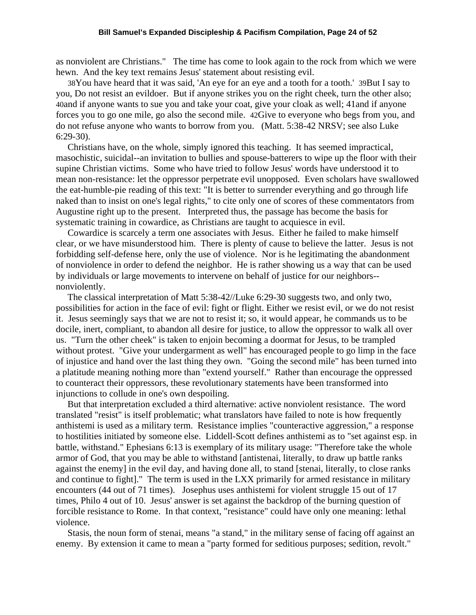as nonviolent are Christians." The time has come to look again to the rock from which we were hewn. And the key text remains Jesus' statement about resisting evil.

 38You have heard that it was said, 'An eye for an eye and a tooth for a tooth.' 39But I say to you, Do not resist an evildoer. But if anyone strikes you on the right cheek, turn the other also; 40and if anyone wants to sue you and take your coat, give your cloak as well; 41and if anyone forces you to go one mile, go also the second mile. 42Give to everyone who begs from you, and do not refuse anyone who wants to borrow from you. (Matt. 5:38-42 NRSV; see also Luke 6:29-30).

 Christians have, on the whole, simply ignored this teaching. It has seemed impractical, masochistic, suicidal--an invitation to bullies and spouse-batterers to wipe up the floor with their supine Christian victims. Some who have tried to follow Jesus' words have understood it to mean non-resistance: let the oppressor perpetrate evil unopposed. Even scholars have swallowed the eat-humble-pie reading of this text: "It is better to surrender everything and go through life naked than to insist on one's legal rights," to cite only one of scores of these commentators from Augustine right up to the present. Interpreted thus, the passage has become the basis for systematic training in cowardice, as Christians are taught to acquiesce in evil.

 Cowardice is scarcely a term one associates with Jesus. Either he failed to make himself clear, or we have misunderstood him. There is plenty of cause to believe the latter. Jesus is not forbidding self-defense here, only the use of violence. Nor is he legitimating the abandonment of nonviolence in order to defend the neighbor. He is rather showing us a way that can be used by individuals or large movements to intervene on behalf of justice for our neighbors- nonviolently.

 The classical interpretation of Matt 5:38-42//Luke 6:29-30 suggests two, and only two, possibilities for action in the face of evil: fight or flight. Either we resist evil, or we do not resist it. Jesus seemingly says that we are not to resist it; so, it would appear, he commands us to be docile, inert, compliant, to abandon all desire for justice, to allow the oppressor to walk all over us. "Turn the other cheek" is taken to enjoin becoming a doormat for Jesus, to be trampled without protest. "Give your undergarment as well" has encouraged people to go limp in the face of injustice and hand over the last thing they own. "Going the second mile" has been turned into a platitude meaning nothing more than "extend yourself." Rather than encourage the oppressed to counteract their oppressors, these revolutionary statements have been transformed into injunctions to collude in one's own despoiling.

 But that interpretation excluded a third alternative: active nonviolent resistance. The word translated "resist" is itself problematic; what translators have failed to note is how frequently anthistemi is used as a military term. Resistance implies "counteractive aggression," a response to hostilities initiated by someone else. Liddell-Scott defines anthistemi as to "set against esp. in battle, withstand." Ephesians 6:13 is exemplary of its military usage: "Therefore take the whole armor of God, that you may be able to withstand [antistenai, literally, to draw up battle ranks against the enemy] in the evil day, and having done all, to stand [stenai, literally, to close ranks and continue to fight]." The term is used in the LXX primarily for armed resistance in military encounters (44 out of 71 times). Josephus uses anthistemi for violent struggle 15 out of 17 times, Philo 4 out of 10. Jesus' answer is set against the backdrop of the burning question of forcible resistance to Rome. In that context, "resistance" could have only one meaning: lethal violence.

 Stasis, the noun form of stenai, means "a stand," in the military sense of facing off against an enemy. By extension it came to mean a "party formed for seditious purposes; sedition, revolt."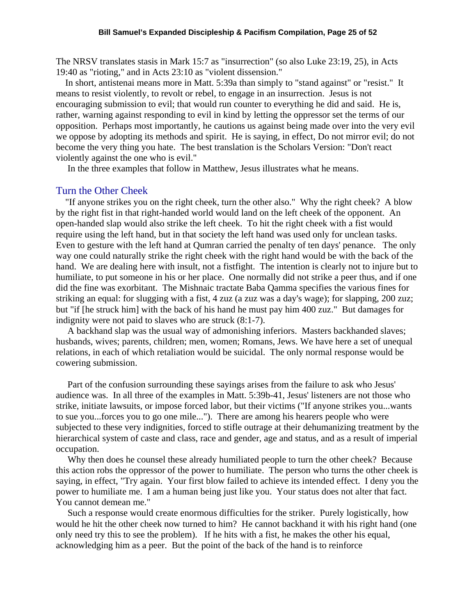The NRSV translates stasis in Mark 15:7 as "insurrection" (so also Luke 23:19, 25), in Acts 19:40 as "rioting," and in Acts 23:10 as "violent dissension."

 In short, antistenai means more in Matt. 5:39a than simply to "stand against" or "resist." It means to resist violently, to revolt or rebel, to engage in an insurrection. Jesus is not encouraging submission to evil; that would run counter to everything he did and said. He is, rather, warning against responding to evil in kind by letting the oppressor set the terms of our opposition. Perhaps most importantly, he cautions us against being made over into the very evil we oppose by adopting its methods and spirit. He is saying, in effect, Do not mirror evil; do not become the very thing you hate. The best translation is the Scholars Version: "Don't react violently against the one who is evil."

In the three examples that follow in Matthew, Jesus illustrates what he means.

#### Turn the Other Cheek

 "If anyone strikes you on the right cheek, turn the other also." Why the right cheek? A blow by the right fist in that right-handed world would land on the left cheek of the opponent. An open-handed slap would also strike the left cheek. To hit the right cheek with a fist would require using the left hand, but in that society the left hand was used only for unclean tasks. Even to gesture with the left hand at Qumran carried the penalty of ten days' penance. The only way one could naturally strike the right cheek with the right hand would be with the back of the hand. We are dealing here with insult, not a fistfight. The intention is clearly not to injure but to humiliate, to put someone in his or her place. One normally did not strike a peer thus, and if one did the fine was exorbitant. The Mishnaic tractate Baba Qamma specifies the various fines for striking an equal: for slugging with a fist, 4 zuz (a zuz was a day's wage); for slapping, 200 zuz; but "if [he struck him] with the back of his hand he must pay him 400 zuz." But damages for indignity were not paid to slaves who are struck (8:1-7).

 A backhand slap was the usual way of admonishing inferiors. Masters backhanded slaves; husbands, wives; parents, children; men, women; Romans, Jews. We have here a set of unequal relations, in each of which retaliation would be suicidal. The only normal response would be cowering submission.

 Part of the confusion surrounding these sayings arises from the failure to ask who Jesus' audience was. In all three of the examples in Matt. 5:39b-41, Jesus' listeners are not those who strike, initiate lawsuits, or impose forced labor, but their victims ("If anyone strikes you...wants to sue you...forces you to go one mile..."). There are among his hearers people who were subjected to these very indignities, forced to stifle outrage at their dehumanizing treatment by the hierarchical system of caste and class, race and gender, age and status, and as a result of imperial occupation.

 Why then does he counsel these already humiliated people to turn the other cheek? Because this action robs the oppressor of the power to humiliate. The person who turns the other cheek is saying, in effect, "Try again. Your first blow failed to achieve its intended effect. I deny you the power to humiliate me. I am a human being just like you. Your status does not alter that fact. You cannot demean me."

 Such a response would create enormous difficulties for the striker. Purely logistically, how would he hit the other cheek now turned to him? He cannot backhand it with his right hand (one only need try this to see the problem). If he hits with a fist, he makes the other his equal, acknowledging him as a peer. But the point of the back of the hand is to reinforce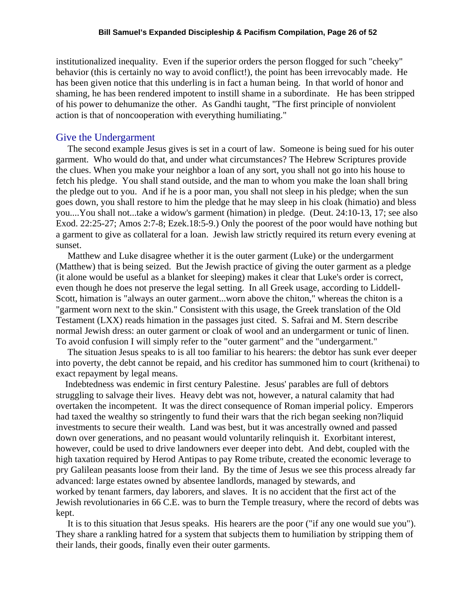institutionalized inequality. Even if the superior orders the person flogged for such "cheeky" behavior (this is certainly no way to avoid conflict!), the point has been irrevocably made. He has been given notice that this underling is in fact a human being. In that world of honor and shaming, he has been rendered impotent to instill shame in a subordinate. He has been stripped of his power to dehumanize the other. As Gandhi taught, "The first principle of nonviolent action is that of noncooperation with everything humiliating."

#### Give the Undergarment

 The second example Jesus gives is set in a court of law. Someone is being sued for his outer garment. Who would do that, and under what circumstances? The Hebrew Scriptures provide the clues. When you make your neighbor a loan of any sort, you shall not go into his house to fetch his pledge. You shall stand outside, and the man to whom you make the loan shall bring the pledge out to you. And if he is a poor man, you shall not sleep in his pledge; when the sun goes down, you shall restore to him the pledge that he may sleep in his cloak (himatio) and bless you....You shall not...take a widow's garment (himation) in pledge. (Deut. 24:10-13, 17; see also Exod. 22:25-27; Amos 2:7-8; Ezek.18:5-9.) Only the poorest of the poor would have nothing but a garment to give as collateral for a loan. Jewish law strictly required its return every evening at sunset.

 Matthew and Luke disagree whether it is the outer garment (Luke) or the undergarment (Matthew) that is being seized. But the Jewish practice of giving the outer garment as a pledge (it alone would be useful as a blanket for sleeping) makes it clear that Luke's order is correct, even though he does not preserve the legal setting. In all Greek usage, according to Liddell-Scott, himation is "always an outer garment...worn above the chiton," whereas the chiton is a "garment worn next to the skin." Consistent with this usage, the Greek translation of the Old Testament (LXX) reads himation in the passages just cited. S. Safrai and M. Stern describe normal Jewish dress: an outer garment or cloak of wool and an undergarment or tunic of linen. To avoid confusion I will simply refer to the "outer garment" and the "undergarment."

 The situation Jesus speaks to is all too familiar to his hearers: the debtor has sunk ever deeper into poverty, the debt cannot be repaid, and his creditor has summoned him to court (krithenai) to exact repayment by legal means.

 Indebtedness was endemic in first century Palestine. Jesus' parables are full of debtors struggling to salvage their lives. Heavy debt was not, however, a natural calamity that had overtaken the incompetent. It was the direct consequence of Roman imperial policy. Emperors had taxed the wealthy so stringently to fund their wars that the rich began seeking non?liquid investments to secure their wealth. Land was best, but it was ancestrally owned and passed down over generations, and no peasant would voluntarily relinquish it. Exorbitant interest, however, could be used to drive landowners ever deeper into debt. And debt, coupled with the high taxation required by Herod Antipas to pay Rome tribute, created the economic leverage to pry Galilean peasants loose from their land. By the time of Jesus we see this process already far advanced: large estates owned by absentee landlords, managed by stewards, and worked by tenant farmers, day laborers, and slaves. It is no accident that the first act of the Jewish revolutionaries in 66 C.E. was to burn the Temple treasury, where the record of debts was kept.

 It is to this situation that Jesus speaks. His hearers are the poor ("if any one would sue you"). They share a rankling hatred for a system that subjects them to humiliation by stripping them of their lands, their goods, finally even their outer garments.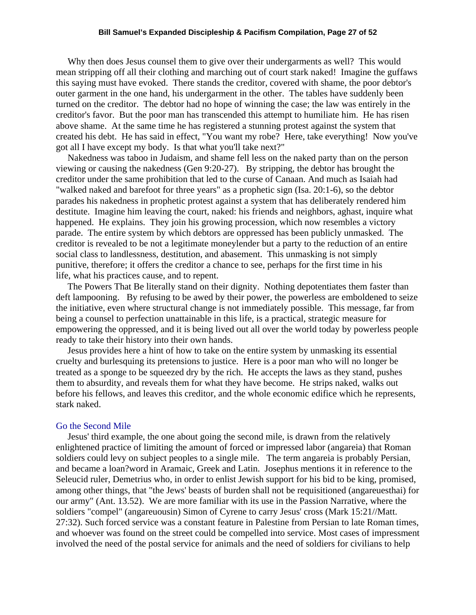#### **Bill Samuel's Expanded Discipleship & Pacifism Compilation, Page 27 of 52**

 Why then does Jesus counsel them to give over their undergarments as well? This would mean stripping off all their clothing and marching out of court stark naked! Imagine the guffaws this saying must have evoked. There stands the creditor, covered with shame, the poor debtor's outer garment in the one hand, his undergarment in the other. The tables have suddenly been turned on the creditor. The debtor had no hope of winning the case; the law was entirely in the creditor's favor. But the poor man has transcended this attempt to humiliate him. He has risen above shame. At the same time he has registered a stunning protest against the system that created his debt. He has said in effect, "You want my robe? Here, take everything! Now you've got all I have except my body. Is that what you'll take next?"

 Nakedness was taboo in Judaism, and shame fell less on the naked party than on the person viewing or causing the nakedness (Gen 9:20-27). By stripping, the debtor has brought the creditor under the same prohibition that led to the curse of Canaan. And much as Isaiah had "walked naked and barefoot for three years" as a prophetic sign (Isa. 20:1-6), so the debtor parades his nakedness in prophetic protest against a system that has deliberately rendered him destitute. Imagine him leaving the court, naked: his friends and neighbors, aghast, inquire what happened. He explains. They join his growing procession, which now resembles a victory parade. The entire system by which debtors are oppressed has been publicly unmasked. The creditor is revealed to be not a legitimate moneylender but a party to the reduction of an entire social class to landlessness, destitution, and abasement. This unmasking is not simply punitive, therefore; it offers the creditor a chance to see, perhaps for the first time in his life, what his practices cause, and to repent.

 The Powers That Be literally stand on their dignity. Nothing depotentiates them faster than deft lampooning. By refusing to be awed by their power, the powerless are emboldened to seize the initiative, even where structural change is not immediately possible. This message, far from being a counsel to perfection unattainable in this life, is a practical, strategic measure for empowering the oppressed, and it is being lived out all over the world today by powerless people ready to take their history into their own hands.

 Jesus provides here a hint of how to take on the entire system by unmasking its essential cruelty and burlesquing its pretensions to justice. Here is a poor man who will no longer be treated as a sponge to be squeezed dry by the rich. He accepts the laws as they stand, pushes them to absurdity, and reveals them for what they have become. He strips naked, walks out before his fellows, and leaves this creditor, and the whole economic edifice which he represents, stark naked.

#### Go the Second Mile

 Jesus' third example, the one about going the second mile, is drawn from the relatively enlightened practice of limiting the amount of forced or impressed labor (angareia) that Roman soldiers could levy on subject peoples to a single mile. The term angareia is probably Persian, and became a loan?word in Aramaic, Greek and Latin. Josephus mentions it in reference to the Seleucid ruler, Demetrius who, in order to enlist Jewish support for his bid to be king, promised, among other things, that "the Jews' beasts of burden shall not be requisitioned (angareuesthai) for our army" (Ant. 13.52). We are more familiar with its use in the Passion Narrative, where the soldiers "compel" (angareuousin) Simon of Cyrene to carry Jesus' cross (Mark 15:21//Matt. 27:32). Such forced service was a constant feature in Palestine from Persian to late Roman times, and whoever was found on the street could be compelled into service. Most cases of impressment involved the need of the postal service for animals and the need of soldiers for civilians to help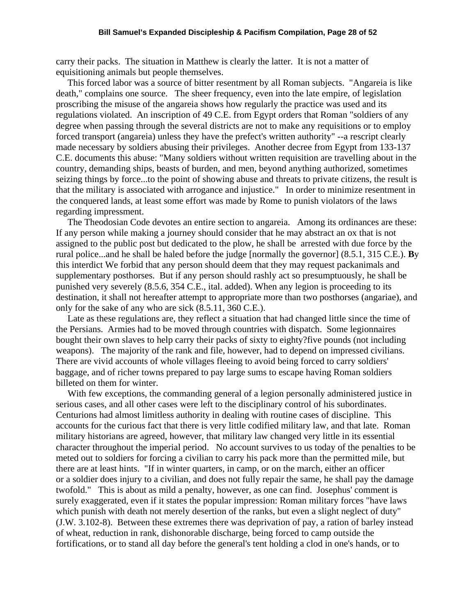carry their packs. The situation in Matthew is clearly the latter. It is not a matter of equisitioning animals but people themselves.

 This forced labor was a source of bitter resentment by all Roman subjects. "Angareia is like death," complains one source. The sheer frequency, even into the late empire, of legislation proscribing the misuse of the angareia shows how regularly the practice was used and its regulations violated. An inscription of 49 C.E. from Egypt orders that Roman "soldiers of any degree when passing through the several districts are not to make any requisitions or to employ forced transport (angareia) unless they have the prefect's written authority" --a rescript clearly made necessary by soldiers abusing their privileges. Another decree from Egypt from 133-137 C.E. documents this abuse: "Many soldiers without written requisition are travelling about in the country, demanding ships, beasts of burden, and men, beyond anything authorized, sometimes seizing things by force...to the point of showing abuse and threats to private citizens, the result is that the military is associated with arrogance and injustice." In order to minimize resentment in the conquered lands, at least some effort was made by Rome to punish violators of the laws regarding impressment.

 The Theodosian Code devotes an entire section to angareia. Among its ordinances are these: If any person while making a journey should consider that he may abstract an ox that is not assigned to the public post but dedicated to the plow, he shall be arrested with due force by the rural police...and he shall be haled before the judge [normally the governor] (8.5.1, 315 C.E.). **B**y this interdict We forbid that any person should deem that they may request packanimals and supplementary posthorses. But if any person should rashly act so presumptuously, he shall be punished very severely (8.5.6, 354 C.E., ital. added). When any legion is proceeding to its destination, it shall not hereafter attempt to appropriate more than two posthorses (angariae), and only for the sake of any who are sick (8.5.11, 360 C.E.).

 Late as these regulations are, they reflect a situation that had changed little since the time of the Persians. Armies had to be moved through countries with dispatch. Some legionnaires bought their own slaves to help carry their packs of sixty to eighty?five pounds (not including weapons). The majority of the rank and file, however, had to depend on impressed civilians. There are vivid accounts of whole villages fleeing to avoid being forced to carry soldiers' baggage, and of richer towns prepared to pay large sums to escape having Roman soldiers billeted on them for winter.

 With few exceptions, the commanding general of a legion personally administered justice in serious cases, and all other cases were left to the disciplinary control of his subordinates. Centurions had almost limitless authority in dealing with routine cases of discipline. This accounts for the curious fact that there is very little codified military law, and that late. Roman military historians are agreed, however, that military law changed very little in its essential character throughout the imperial period. No account survives to us today of the penalties to be meted out to soldiers for forcing a civilian to carry his pack more than the permitted mile, but there are at least hints. "If in winter quarters, in camp, or on the march, either an officer or a soldier does injury to a civilian, and does not fully repair the same, he shall pay the damage twofold." This is about as mild a penalty, however, as one can find. Josephus' comment is surely exaggerated, even if it states the popular impression: Roman military forces "have laws which punish with death not merely desertion of the ranks, but even a slight neglect of duty" (J.W. 3.102-8). Between these extremes there was deprivation of pay, a ration of barley instead of wheat, reduction in rank, dishonorable discharge, being forced to camp outside the fortifications, or to stand all day before the general's tent holding a clod in one's hands, or to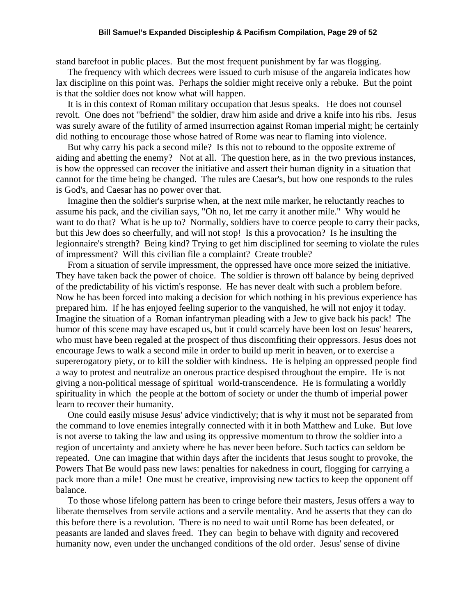stand barefoot in public places. But the most frequent punishment by far was flogging.

 The frequency with which decrees were issued to curb misuse of the angareia indicates how lax discipline on this point was. Perhaps the soldier might receive only a rebuke. But the point is that the soldier does not know what will happen.

 It is in this context of Roman military occupation that Jesus speaks. He does not counsel revolt. One does not "befriend" the soldier, draw him aside and drive a knife into his ribs. Jesus was surely aware of the futility of armed insurrection against Roman imperial might; he certainly did nothing to encourage those whose hatred of Rome was near to flaming into violence.

 But why carry his pack a second mile? Is this not to rebound to the opposite extreme of aiding and abetting the enemy? Not at all. The question here, as in the two previous instances, is how the oppressed can recover the initiative and assert their human dignity in a situation that cannot for the time being be changed. The rules are Caesar's, but how one responds to the rules is God's, and Caesar has no power over that.

 Imagine then the soldier's surprise when, at the next mile marker, he reluctantly reaches to assume his pack, and the civilian says, "Oh no, let me carry it another mile." Why would he want to do that? What is he up to? Normally, soldiers have to coerce people to carry their packs, but this Jew does so cheerfully, and will not stop! Is this a provocation? Is he insulting the legionnaire's strength? Being kind? Trying to get him disciplined for seeming to violate the rules of impressment? Will this civilian file a complaint? Create trouble?

 From a situation of servile impressment, the oppressed have once more seized the initiative. They have taken back the power of choice. The soldier is thrown off balance by being deprived of the predictability of his victim's response. He has never dealt with such a problem before. Now he has been forced into making a decision for which nothing in his previous experience has prepared him. If he has enjoyed feeling superior to the vanquished, he will not enjoy it today. Imagine the situation of a Roman infantryman pleading with a Jew to give back his pack! The humor of this scene may have escaped us, but it could scarcely have been lost on Jesus' hearers, who must have been regaled at the prospect of thus discomfiting their oppressors. Jesus does not encourage Jews to walk a second mile in order to build up merit in heaven, or to exercise a supererogatory piety, or to kill the soldier with kindness. He is helping an oppressed people find a way to protest and neutralize an onerous practice despised throughout the empire. He is not giving a non-political message of spiritual world-transcendence. He is formulating a worldly spirituality in which the people at the bottom of society or under the thumb of imperial power learn to recover their humanity.

 One could easily misuse Jesus' advice vindictively; that is why it must not be separated from the command to love enemies integrally connected with it in both Matthew and Luke. But love is not averse to taking the law and using its oppressive momentum to throw the soldier into a region of uncertainty and anxiety where he has never been before. Such tactics can seldom be repeated. One can imagine that within days after the incidents that Jesus sought to provoke, the Powers That Be would pass new laws: penalties for nakedness in court, flogging for carrying a pack more than a mile! One must be creative, improvising new tactics to keep the opponent off balance.

 To those whose lifelong pattern has been to cringe before their masters, Jesus offers a way to liberate themselves from servile actions and a servile mentality. And he asserts that they can do this before there is a revolution. There is no need to wait until Rome has been defeated, or peasants are landed and slaves freed. They can begin to behave with dignity and recovered humanity now, even under the unchanged conditions of the old order. Jesus' sense of divine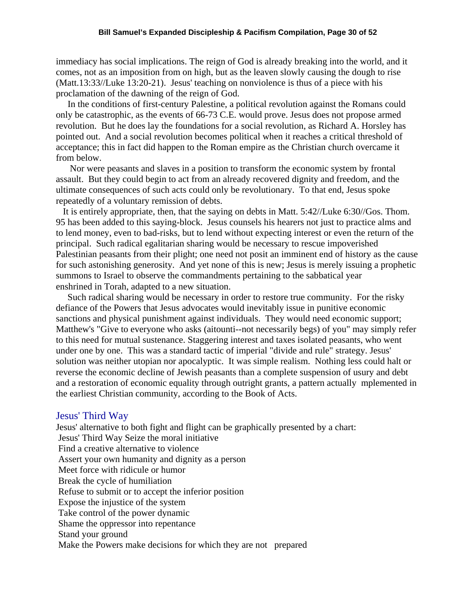immediacy has social implications. The reign of God is already breaking into the world, and it comes, not as an imposition from on high, but as the leaven slowly causing the dough to rise (Matt.13:33//Luke 13:20-21). Jesus' teaching on nonviolence is thus of a piece with his proclamation of the dawning of the reign of God.

 In the conditions of first-century Palestine, a political revolution against the Romans could only be catastrophic, as the events of 66-73 C.E. would prove. Jesus does not propose armed revolution. But he does lay the foundations for a social revolution, as Richard A. Horsley has pointed out. And a social revolution becomes political when it reaches a critical threshold of acceptance; this in fact did happen to the Roman empire as the Christian church overcame it from below.

 Nor were peasants and slaves in a position to transform the economic system by frontal assault. But they could begin to act from an already recovered dignity and freedom, and the ultimate consequences of such acts could only be revolutionary. To that end, Jesus spoke repeatedly of a voluntary remission of debts.

 It is entirely appropriate, then, that the saying on debts in Matt. 5:42//Luke 6:30//Gos. Thom. 95 has been added to this saying-block. Jesus counsels his hearers not just to practice alms and to lend money, even to bad-risks, but to lend without expecting interest or even the return of the principal. Such radical egalitarian sharing would be necessary to rescue impoverished Palestinian peasants from their plight; one need not posit an imminent end of history as the cause for such astonishing generosity. And yet none of this is new; Jesus is merely issuing a prophetic summons to Israel to observe the commandments pertaining to the sabbatical year enshrined in Torah, adapted to a new situation.

 Such radical sharing would be necessary in order to restore true community. For the risky defiance of the Powers that Jesus advocates would inevitably issue in punitive economic sanctions and physical punishment against individuals. They would need economic support; Matthew's "Give to everyone who asks (aitounti--not necessarily begs) of you" may simply refer to this need for mutual sustenance. Staggering interest and taxes isolated peasants, who went under one by one. This was a standard tactic of imperial "divide and rule" strategy. Jesus' solution was neither utopian nor apocalyptic. It was simple realism. Nothing less could halt or reverse the economic decline of Jewish peasants than a complete suspension of usury and debt and a restoration of economic equality through outright grants, a pattern actually mplemented in the earliest Christian community, according to the Book of Acts.

#### Jesus' Third Way

Jesus' alternative to both fight and flight can be graphically presented by a chart: Jesus' Third Way Seize the moral initiative Find a creative alternative to violence Assert your own humanity and dignity as a person Meet force with ridicule or humor Break the cycle of humiliation Refuse to submit or to accept the inferior position Expose the injustice of the system Take control of the power dynamic Shame the oppressor into repentance Stand your ground Make the Powers make decisions for which they are not prepared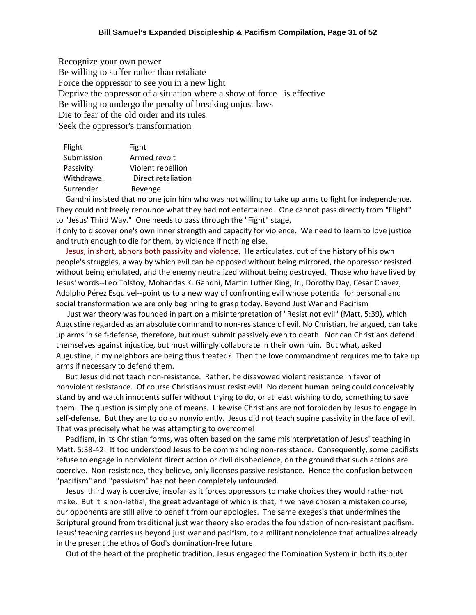Recognize your own power Be willing to suffer rather than retaliate Force the oppressor to see you in a new light Deprive the oppressor of a situation where a show of force is effective Be willing to undergo the penalty of breaking unjust laws Die to fear of the old order and its rules Seek the oppressor's transformation

| Flight     | Fight              |
|------------|--------------------|
| Submission | Armed revolt       |
| Passivity  | Violent rebellion  |
| Withdrawal | Direct retaliation |
| Surrender  | Revenge            |

 Gandhi insisted that no one join him who was not willing to take up arms to fight for independence. They could not freely renounce what they had not entertained. One cannot pass directly from "Flight" to "Jesus' Third Way." One needs to pass through the "Fight" stage,

if only to discover one's own inner strength and capacity for violence. We need to learn to love justice and truth enough to die for them, by violence if nothing else.

 Jesus, in short, abhors both passivity and violence. He articulates, out of the history of his own people's struggles, a way by which evil can be opposed without being mirrored, the oppressor resisted without being emulated, and the enemy neutralized without being destroyed. Those who have lived by Jesus' words‐‐Leo Tolstoy, Mohandas K. Gandhi, Martin Luther King, Jr., Dorothy Day, César Chavez, Adolpho Pérez Esquivel‐‐point us to a new way of confronting evil whose potential for personal and social transformation we are only beginning to grasp today. Beyond Just War and Pacifism

 Just war theory was founded in part on a misinterpretation of "Resist not evil" (Matt. 5:39), which Augustine regarded as an absolute command to non‐resistance of evil. No Christian, he argued, can take up arms in self‐defense, therefore, but must submit passively even to death. Nor can Christians defend themselves against injustice, but must willingly collaborate in their own ruin. But what, asked Augustine, if my neighbors are being thus treated? Then the love commandment requires me to take up arms if necessary to defend them.

 But Jesus did not teach non‐resistance. Rather, he disavowed violent resistance in favor of nonviolent resistance. Of course Christians must resist evil! No decent human being could conceivably stand by and watch innocents suffer without trying to do, or at least wishing to do, something to save them. The question is simply one of means. Likewise Christians are not forbidden by Jesus to engage in self-defense. But they are to do so nonviolently. Jesus did not teach supine passivity in the face of evil. That was precisely what he was attempting to overcome!

 Pacifism, in its Christian forms, was often based on the same misinterpretation of Jesus' teaching in Matt. 5:38-42. It too understood Jesus to be commanding non-resistance. Consequently, some pacifists refuse to engage in nonviolent direct action or civil disobedience, on the ground that such actions are coercive. Non‐resistance, they believe, only licenses passive resistance. Hence the confusion between "pacifism" and "passivism" has not been completely unfounded.

 Jesus' third way is coercive, insofar as it forces oppressors to make choices they would rather not make. But it is non‐lethal, the great advantage of which is that, if we have chosen a mistaken course, our opponents are still alive to benefit from our apologies. The same exegesis that undermines the Scriptural ground from traditional just war theory also erodes the foundation of non‐resistant pacifism. Jesus' teaching carries us beyond just war and pacifism, to a militant nonviolence that actualizes already in the present the ethos of God's domination‐free future.

Out of the heart of the prophetic tradition, Jesus engaged the Domination System in both its outer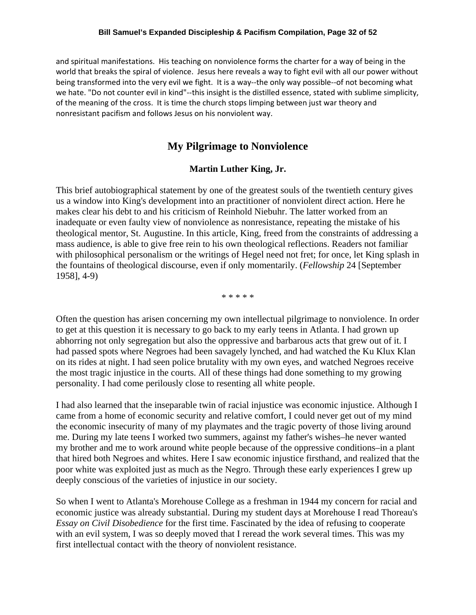#### **Bill Samuel's Expanded Discipleship & Pacifism Compilation, Page 32 of 52**

and spiritual manifestations. His teaching on nonviolence forms the charter for a way of being in the world that breaks the spiral of violence. Jesus here reveals a way to fight evil with all our power without being transformed into the very evil we fight. It is a way--the only way possible--of not becoming what we hate. "Do not counter evil in kind"--this insight is the distilled essence, stated with sublime simplicity, of the meaning of the cross. It is time the church stops limping between just war theory and nonresistant pacifism and follows Jesus on his nonviolent way.

# **My Pilgrimage to Nonviolence**

#### **Martin Luther King, Jr.**

This brief autobiographical statement by one of the greatest souls of the twentieth century gives us a window into King's development into an practitioner of nonviolent direct action. Here he makes clear his debt to and his criticism of Reinhold Niebuhr. The latter worked from an inadequate or even faulty view of nonviolence as nonresistance, repeating the mistake of his theological mentor, St. Augustine. In this article, King, freed from the constraints of addressing a mass audience, is able to give free rein to his own theological reflections. Readers not familiar with philosophical personalism or the writings of Hegel need not fret; for once, let King splash in the fountains of theological discourse, even if only momentarily. (*Fellowship* 24 [September 1958], 4-9)

\* \* \* \* \*

Often the question has arisen concerning my own intellectual pilgrimage to nonviolence. In order to get at this question it is necessary to go back to my early teens in Atlanta. I had grown up abhorring not only segregation but also the oppressive and barbarous acts that grew out of it. I had passed spots where Negroes had been savagely lynched, and had watched the Ku Klux Klan on its rides at night. I had seen police brutality with my own eyes, and watched Negroes receive the most tragic injustice in the courts. All of these things had done something to my growing personality. I had come perilously close to resenting all white people.

I had also learned that the inseparable twin of racial injustice was economic injustice. Although I came from a home of economic security and relative comfort, I could never get out of my mind the economic insecurity of many of my playmates and the tragic poverty of those living around me. During my late teens I worked two summers, against my father's wishes–he never wanted my brother and me to work around white people because of the oppressive conditions–in a plant that hired both Negroes and whites. Here I saw economic injustice firsthand, and realized that the poor white was exploited just as much as the Negro. Through these early experiences I grew up deeply conscious of the varieties of injustice in our society.

So when I went to Atlanta's Morehouse College as a freshman in 1944 my concern for racial and economic justice was already substantial. During my student days at Morehouse I read Thoreau's *Essay on Civil Disobedience* for the first time. Fascinated by the idea of refusing to cooperate with an evil system, I was so deeply moved that I reread the work several times. This was my first intellectual contact with the theory of nonviolent resistance.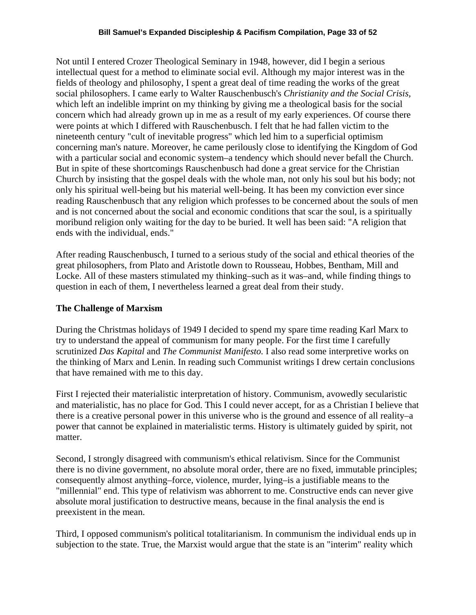#### **Bill Samuel's Expanded Discipleship & Pacifism Compilation, Page 33 of 52**

Not until I entered Crozer Theological Seminary in 1948, however, did I begin a serious intellectual quest for a method to eliminate social evil. Although my major interest was in the fields of theology and philosophy, I spent a great deal of time reading the works of the great social philosophers. I came early to Walter Rauschenbusch's *Christianity and the Social Crisis,*  which left an indelible imprint on my thinking by giving me a theological basis for the social concern which had already grown up in me as a result of my early experiences. Of course there were points at which I differed with Rauschenbusch. I felt that he had fallen victim to the nineteenth century "cult of inevitable progress" which led him to a superficial optimism concerning man's nature. Moreover, he came perilously close to identifying the Kingdom of God with a particular social and economic system–a tendency which should never befall the Church. But in spite of these shortcomings Rauschenbusch had done a great service for the Christian Church by insisting that the gospel deals with the whole man, not only his soul but his body; not only his spiritual well-being but his material well-being. It has been my conviction ever since reading Rauschenbusch that any religion which professes to be concerned about the souls of men and is not concerned about the social and economic conditions that scar the soul, is a spiritually moribund religion only waiting for the day to be buried. It well has been said: "A religion that ends with the individual, ends."

After reading Rauschenbusch, I turned to a serious study of the social and ethical theories of the great philosophers, from Plato and Aristotle down to Rousseau, Hobbes, Bentham, Mill and Locke. All of these masters stimulated my thinking–such as it was–and, while finding things to question in each of them, I nevertheless learned a great deal from their study.

## **The Challenge of Marxism**

During the Christmas holidays of 1949 I decided to spend my spare time reading Karl Marx to try to understand the appeal of communism for many people. For the first time I carefully scrutinized *Das Kapital* and *The Communist Manifesto.* I also read some interpretive works on the thinking of Marx and Lenin. In reading such Communist writings I drew certain conclusions that have remained with me to this day.

First I rejected their materialistic interpretation of history. Communism, avowedly secularistic and materialistic, has no place for God. This I could never accept, for as a Christian I believe that there is a creative personal power in this universe who is the ground and essence of all reality–a power that cannot be explained in materialistic terms. History is ultimately guided by spirit, not matter.

Second, I strongly disagreed with communism's ethical relativism. Since for the Communist there is no divine government, no absolute moral order, there are no fixed, immutable principles; consequently almost anything–force, violence, murder, lying–is a justifiable means to the "millennial" end. This type of relativism was abhorrent to me. Constructive ends can never give absolute moral justification to destructive means, because in the final analysis the end is preexistent in the mean.

Third, I opposed communism's political totalitarianism. In communism the individual ends up in subjection to the state. True, the Marxist would argue that the state is an "interim" reality which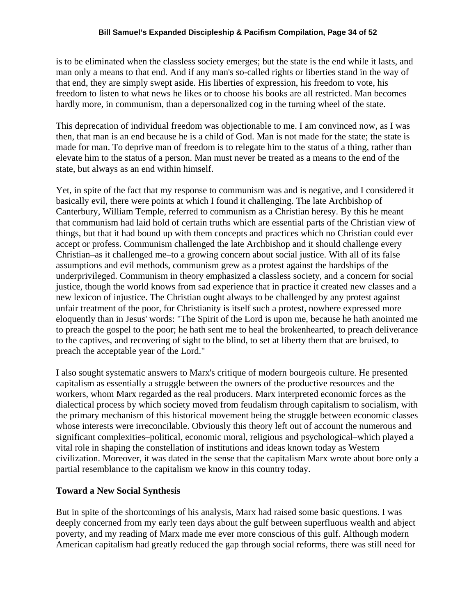is to be eliminated when the classless society emerges; but the state is the end while it lasts, and man only a means to that end. And if any man's so-called rights or liberties stand in the way of that end, they are simply swept aside. His liberties of expression, his freedom to vote, his freedom to listen to what news he likes or to choose his books are all restricted. Man becomes hardly more, in communism, than a depersonalized cog in the turning wheel of the state.

This deprecation of individual freedom was objectionable to me. I am convinced now, as I was then, that man is an end because he is a child of God. Man is not made for the state; the state is made for man. To deprive man of freedom is to relegate him to the status of a thing, rather than elevate him to the status of a person. Man must never be treated as a means to the end of the state, but always as an end within himself.

Yet, in spite of the fact that my response to communism was and is negative, and I considered it basically evil, there were points at which I found it challenging. The late Archbishop of Canterbury, William Temple, referred to communism as a Christian heresy. By this he meant that communism had laid hold of certain truths which are essential parts of the Christian view of things, but that it had bound up with them concepts and practices which no Christian could ever accept or profess. Communism challenged the late Archbishop and it should challenge every Christian–as it challenged me–to a growing concern about social justice. With all of its false assumptions and evil methods, communism grew as a protest against the hardships of the underprivileged. Communism in theory emphasized a classless society, and a concern for social justice, though the world knows from sad experience that in practice it created new classes and a new lexicon of injustice. The Christian ought always to be challenged by any protest against unfair treatment of the poor, for Christianity is itself such a protest, nowhere expressed more eloquently than in Jesus' words: "The Spirit of the Lord is upon me, because he hath anointed me to preach the gospel to the poor; he hath sent me to heal the brokenhearted, to preach deliverance to the captives, and recovering of sight to the blind, to set at liberty them that are bruised, to preach the acceptable year of the Lord."

I also sought systematic answers to Marx's critique of modern bourgeois culture. He presented capitalism as essentially a struggle between the owners of the productive resources and the workers, whom Marx regarded as the real producers. Marx interpreted economic forces as the dialectical process by which society moved from feudalism through capitalism to socialism, with the primary mechanism of this historical movement being the struggle between economic classes whose interests were irreconcilable. Obviously this theory left out of account the numerous and significant complexities–political, economic moral, religious and psychological–which played a vital role in shaping the constellation of institutions and ideas known today as Western civilization. Moreover, it was dated in the sense that the capitalism Marx wrote about bore only a partial resemblance to the capitalism we know in this country today.

# **Toward a New Social Synthesis**

But in spite of the shortcomings of his analysis, Marx had raised some basic questions. I was deeply concerned from my early teen days about the gulf between superfluous wealth and abject poverty, and my reading of Marx made me ever more conscious of this gulf. Although modern American capitalism had greatly reduced the gap through social reforms, there was still need for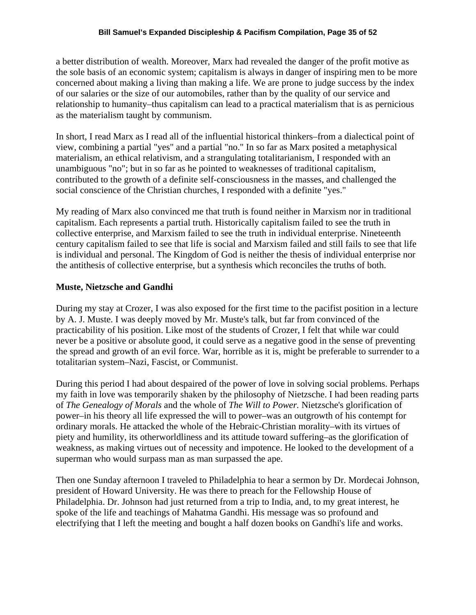a better distribution of wealth. Moreover, Marx had revealed the danger of the profit motive as the sole basis of an economic system; capitalism is always in danger of inspiring men to be more concerned about making a living than making a life. We are prone to judge success by the index of our salaries or the size of our automobiles, rather than by the quality of our service and relationship to humanity–thus capitalism can lead to a practical materialism that is as pernicious as the materialism taught by communism.

In short, I read Marx as I read all of the influential historical thinkers–from a dialectical point of view, combining a partial "yes" and a partial "no." In so far as Marx posited a metaphysical materialism, an ethical relativism, and a strangulating totalitarianism, I responded with an unambiguous "no"; but in so far as he pointed to weaknesses of traditional capitalism, contributed to the growth of a definite self-consciousness in the masses, and challenged the social conscience of the Christian churches, I responded with a definite "yes."

My reading of Marx also convinced me that truth is found neither in Marxism nor in traditional capitalism. Each represents a partial truth. Historically capitalism failed to see the truth in collective enterprise, and Marxism failed to see the truth in individual enterprise. Nineteenth century capitalism failed to see that life is social and Marxism failed and still fails to see that life is individual and personal. The Kingdom of God is neither the thesis of individual enterprise nor the antithesis of collective enterprise, but a synthesis which reconciles the truths of both.

# **Muste, Nietzsche and Gandhi**

During my stay at Crozer, I was also exposed for the first time to the pacifist position in a lecture by A. J. Muste. I was deeply moved by Mr. Muste's talk, but far from convinced of the practicability of his position. Like most of the students of Crozer, I felt that while war could never be a positive or absolute good, it could serve as a negative good in the sense of preventing the spread and growth of an evil force. War, horrible as it is, might be preferable to surrender to a totalitarian system–Nazi, Fascist, or Communist.

During this period I had about despaired of the power of love in solving social problems. Perhaps my faith in love was temporarily shaken by the philosophy of Nietzsche. I had been reading parts of *The Genealogy of Morals* and the whole of *The Will to Power.* Nietzsche's glorification of power–in his theory all life expressed the will to power–was an outgrowth of his contempt for ordinary morals. He attacked the whole of the Hebraic-Christian morality–with its virtues of piety and humility, its otherworldliness and its attitude toward suffering–as the glorification of weakness, as making virtues out of necessity and impotence. He looked to the development of a superman who would surpass man as man surpassed the ape.

Then one Sunday afternoon I traveled to Philadelphia to hear a sermon by Dr. Mordecai Johnson, president of Howard University. He was there to preach for the Fellowship House of Philadelphia. Dr. Johnson had just returned from a trip to India, and, to my great interest, he spoke of the life and teachings of Mahatma Gandhi. His message was so profound and electrifying that I left the meeting and bought a half dozen books on Gandhi's life and works.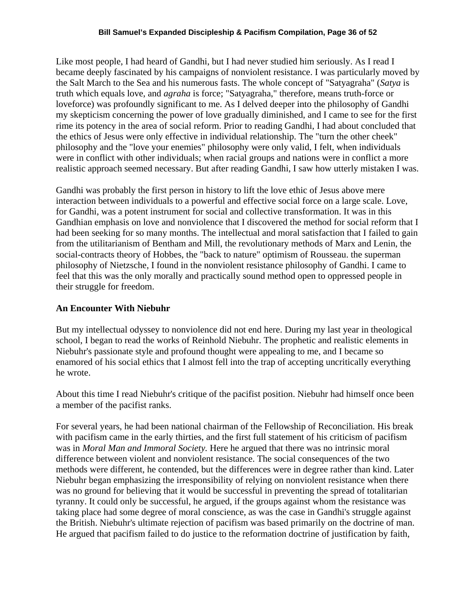#### **Bill Samuel's Expanded Discipleship & Pacifism Compilation, Page 36 of 52**

Like most people, I had heard of Gandhi, but I had never studied him seriously. As I read I became deeply fascinated by his campaigns of nonviolent resistance. I was particularly moved by the Salt March to the Sea and his numerous fasts. The whole concept of "Satyagraha" (*Satya* is truth which equals love, and *agraha* is force; "Satyagraha," therefore, means truth-force or loveforce) was profoundly significant to me. As I delved deeper into the philosophy of Gandhi my skepticism concerning the power of love gradually diminished, and I came to see for the first rime its potency in the area of social reform. Prior to reading Gandhi, I had about concluded that the ethics of Jesus were only effective in individual relationship. The "turn the other cheek" philosophy and the "love your enemies" philosophy were only valid, I felt, when individuals were in conflict with other individuals; when racial groups and nations were in conflict a more realistic approach seemed necessary. But after reading Gandhi, I saw how utterly mistaken I was.

Gandhi was probably the first person in history to lift the love ethic of Jesus above mere interaction between individuals to a powerful and effective social force on a large scale. Love, for Gandhi, was a potent instrument for social and collective transformation. It was in this Gandhian emphasis on love and nonviolence that I discovered the method for social reform that I had been seeking for so many months. The intellectual and moral satisfaction that I failed to gain from the utilitarianism of Bentham and Mill, the revolutionary methods of Marx and Lenin, the social-contracts theory of Hobbes, the "back to nature" optimism of Rousseau. the superman philosophy of Nietzsche, I found in the nonviolent resistance philosophy of Gandhi. I came to feel that this was the only morally and practically sound method open to oppressed people in their struggle for freedom.

# **An Encounter With Niebuhr**

But my intellectual odyssey to nonviolence did not end here. During my last year in theological school, I began to read the works of Reinhold Niebuhr. The prophetic and realistic elements in Niebuhr's passionate style and profound thought were appealing to me, and I became so enamored of his social ethics that I almost fell into the trap of accepting uncritically everything he wrote.

About this time I read Niebuhr's critique of the pacifist position. Niebuhr had himself once been a member of the pacifist ranks.

For several years, he had been national chairman of the Fellowship of Reconciliation. His break with pacifism came in the early thirties, and the first full statement of his criticism of pacifism was in *Moral Man and Immoral Society.* Here he argued that there was no intrinsic moral difference between violent and nonviolent resistance. The social consequences of the two methods were different, he contended, but the differences were in degree rather than kind. Later Niebuhr began emphasizing the irresponsibility of relying on nonviolent resistance when there was no ground for believing that it would be successful in preventing the spread of totalitarian tyranny. It could only be successful, he argued, if the groups against whom the resistance was taking place had some degree of moral conscience, as was the case in Gandhi's struggle against the British. Niebuhr's ultimate rejection of pacifism was based primarily on the doctrine of man. He argued that pacifism failed to do justice to the reformation doctrine of justification by faith,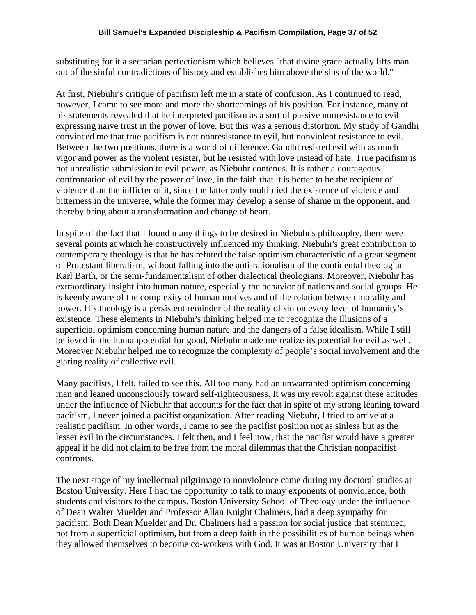substituting for it a sectarian perfectionism which believes "that divine grace actually lifts man out of the sinful contradictions of history and establishes him above the sins of the world."

At first, Niebuhr's critique of pacifism left me in a state of confusion. As I continued to read, however, I came to see more and more the shortcomings of his position. For instance, many of his statements revealed that he interpreted pacifism as a sort of passive nonresistance to evil expressing naive trust in the power of love. But this was a serious distortion. My study of Gandhi convinced me that true pacifism is not nonresistance to evil, but nonviolent resistance to evil. Between the two positions, there is a world of difference. Gandhi resisted evil with as much vigor and power as the violent resister, but he resisted with love instead of hate. True pacifism is not unrealistic submission to evil power, as Niebuhr contends. It is rather a courageous confrontation of evil by the power of love, in the faith that it is better to be the recipient of violence than the inflicter of it, since the latter only multiplied the existence of violence and bitterness in the universe, while the former may develop a sense of shame in the opponent, and thereby bring about a transformation and change of heart.

In spite of the fact that I found many things to be desired in Niebuhr's philosophy, there were several points at which he constructively influenced my thinking. Niebuhr's great contribution to contemporary theology is that he has refuted the false optimism characteristic of a great segment of Protestant liberalism, without falling into the anti-rationalism of the continental theologian Karl Barth, or the semi-fundamentalism of other dialectical theologians. Moreover, Niebuhr has extraordinary insight into human nature, especially the behavior of nations and social groups. He is keenly aware of the complexity of human motives and of the relation between morality and power. His theology is a persistent reminder of the reality of sin on every level of humanity's existence. These elements in Niebuhr's thinking helped me to recognize the illusions of a superficial optimism concerning human nature and the dangers of a false idealism. While I still believed in the humanpotential for good, Niebuhr made me realize its potential for evil as well. Moreover Niebuhr helped me to recognize the complexity of people's social involvement and the glaring reality of collective evil.

Many pacifists, I felt, failed to see this. All too many had an unwarranted optimism concerning man and leaned unconsciously toward self-righteousness. It was my revolt against these attitudes under the influence of Niebuhr that accounts for the fact that in spite of my strong leaning toward pacifism, I never joined a pacifist organization. After reading Niebuhr, I tried to arrive at a realistic pacifism. In other words, I came to see the pacifist position not as sinless but as the lesser evil in the circumstances. I felt then, and I feel now, that the pacifist would have a greater appeal if he did not claim to be free from the moral dilemmas that the Christian nonpacifist confronts.

The next stage of my intellectual pilgrimage to nonviolence came during my doctoral studies at Boston University. Here I had the opportunity to talk to many exponents of nonviolence, both students and visitors to the campus. Boston University School of Theology under the influence of Dean Walter Muelder and Professor Allan Knight Chalmers, had a deep sympathy for pacifism. Both Dean Muelder and Dr. Chalmers had a passion for social justice that stemmed, not from a superficial optimism, but from a deep faith in the possibilities of human beings when they allowed themselves to become co-workers with God. It was at Boston University that I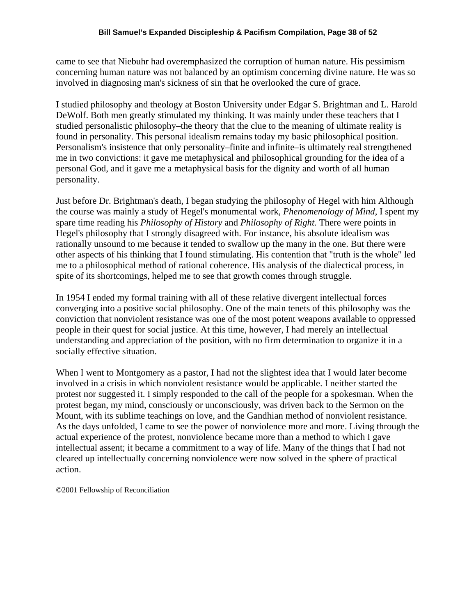came to see that Niebuhr had overemphasized the corruption of human nature. His pessimism concerning human nature was not balanced by an optimism concerning divine nature. He was so involved in diagnosing man's sickness of sin that he overlooked the cure of grace.

I studied philosophy and theology at Boston University under Edgar S. Brightman and L. Harold DeWolf. Both men greatly stimulated my thinking. It was mainly under these teachers that I studied personalistic philosophy–the theory that the clue to the meaning of ultimate reality is found in personality. This personal idealism remains today my basic philosophical position. Personalism's insistence that only personality–finite and infinite–is ultimately real strengthened me in two convictions: it gave me metaphysical and philosophical grounding for the idea of a personal God, and it gave me a metaphysical basis for the dignity and worth of all human personality.

Just before Dr. Brightman's death, I began studying the philosophy of Hegel with him Although the course was mainly a study of Hegel's monumental work, *Phenomenology of Mind*, I spent my spare time reading his *Philosophy of History* and *Philosophy of Right.* There were points in Hegel's philosophy that I strongly disagreed with. For instance, his absolute idealism was rationally unsound to me because it tended to swallow up the many in the one. But there were other aspects of his thinking that I found stimulating. His contention that "truth is the whole" led me to a philosophical method of rational coherence. His analysis of the dialectical process, in spite of its shortcomings, helped me to see that growth comes through struggle.

In 1954 I ended my formal training with all of these relative divergent intellectual forces converging into a positive social philosophy. One of the main tenets of this philosophy was the conviction that nonviolent resistance was one of the most potent weapons available to oppressed people in their quest for social justice. At this time, however, I had merely an intellectual understanding and appreciation of the position, with no firm determination to organize it in a socially effective situation.

When I went to Montgomery as a pastor, I had not the slightest idea that I would later become involved in a crisis in which nonviolent resistance would be applicable. I neither started the protest nor suggested it. I simply responded to the call of the people for a spokesman. When the protest began, my mind, consciously or unconsciously, was driven back to the Sermon on the Mount, with its sublime teachings on love, and the Gandhian method of nonviolent resistance. As the days unfolded, I came to see the power of nonviolence more and more. Living through the actual experience of the protest, nonviolence became more than a method to which I gave intellectual assent; it became a commitment to a way of life. Many of the things that I had not cleared up intellectually concerning nonviolence were now solved in the sphere of practical action.

©2001 Fellowship of Reconciliation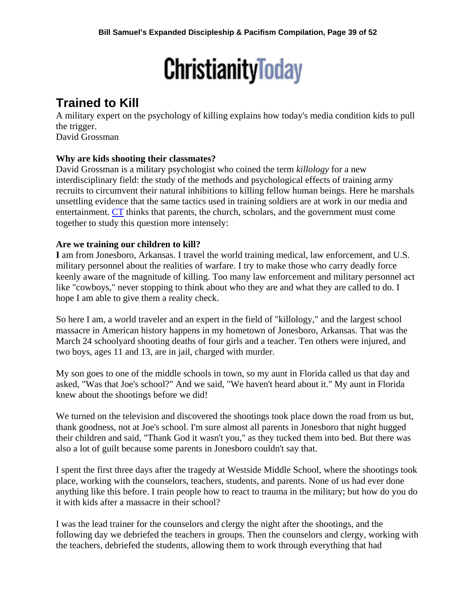# **ChristianityToday**

# **Trained to Kill**

A military expert on the psychology of killing explains how today's media condition kids to pull the trigger. David Grossman

# **Why are kids shooting their classmates?**

David Grossman is a military psychologist who coined the term *killology* for a new interdisciplinary field: the study of the methods and psychological effects of training army recruits to circumvent their natural inhibitions to killing fellow human beings. Here he marshals unsettling evidence that the same tactics used in training soldiers are at work in our media and entertainment. [CT](http://www.christianitytoday.com/ctmag/) thinks that parents, the church, scholars, and the government must come together to study this question more intensely:

# **Are we training our children to kill?**

**I** am from Jonesboro, Arkansas. I travel the world training medical, law enforcement, and U.S. military personnel about the realities of warfare. I try to make those who carry deadly force keenly aware of the magnitude of killing. Too many law enforcement and military personnel act like "cowboys," never stopping to think about who they are and what they are called to do. I hope I am able to give them a reality check.

So here I am, a world traveler and an expert in the field of "killology," and the largest school massacre in American history happens in my hometown of Jonesboro, Arkansas. That was the March 24 schoolyard shooting deaths of four girls and a teacher. Ten others were injured, and two boys, ages 11 and 13, are in jail, charged with murder.

My son goes to one of the middle schools in town, so my aunt in Florida called us that day and asked, "Was that Joe's school?" And we said, "We haven't heard about it." My aunt in Florida knew about the shootings before we did!

We turned on the television and discovered the shootings took place down the road from us but, thank goodness, not at Joe's school. I'm sure almost all parents in Jonesboro that night hugged their children and said, "Thank God it wasn't you," as they tucked them into bed. But there was also a lot of guilt because some parents in Jonesboro couldn't say that.

I spent the first three days after the tragedy at Westside Middle School, where the shootings took place, working with the counselors, teachers, students, and parents. None of us had ever done anything like this before. I train people how to react to trauma in the military; but how do you do it with kids after a massacre in their school?

I was the lead trainer for the counselors and clergy the night after the shootings, and the following day we debriefed the teachers in groups. Then the counselors and clergy, working with the teachers, debriefed the students, allowing them to work through everything that had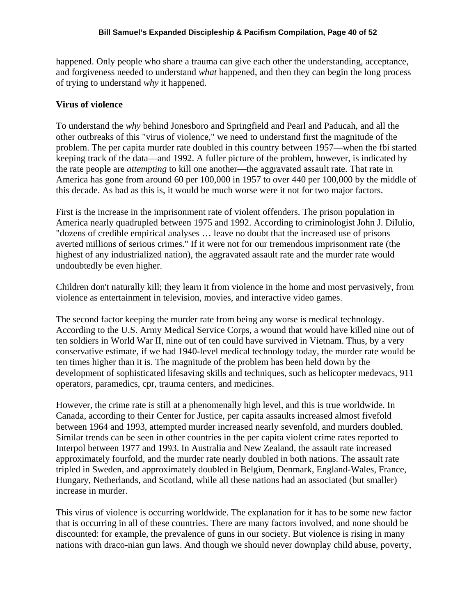happened. Only people who share a trauma can give each other the understanding, acceptance, and forgiveness needed to understand *what* happened, and then they can begin the long process of trying to understand *why* it happened.

#### **Virus of violence**

To understand the *why* behind Jonesboro and Springfield and Pearl and Paducah, and all the other outbreaks of this "virus of violence," we need to understand first the magnitude of the problem. The per capita murder rate doubled in this country between 1957—when the fbi started keeping track of the data—and 1992. A fuller picture of the problem, however, is indicated by the rate people are *attempting* to kill one another—the aggravated assault rate. That rate in America has gone from around 60 per 100,000 in 1957 to over 440 per 100,000 by the middle of this decade. As bad as this is, it would be much worse were it not for two major factors.

First is the increase in the imprisonment rate of violent offenders. The prison population in America nearly quadrupled between 1975 and 1992. According to criminologist John J. DiIulio, "dozens of credible empirical analyses … leave no doubt that the increased use of prisons averted millions of serious crimes." If it were not for our tremendous imprisonment rate (the highest of any industrialized nation), the aggravated assault rate and the murder rate would undoubtedly be even higher.

Children don't naturally kill; they learn it from violence in the home and most pervasively, from violence as entertainment in television, movies, and interactive video games.

The second factor keeping the murder rate from being any worse is medical technology. According to the U.S. Army Medical Service Corps, a wound that would have killed nine out of ten soldiers in World War II, nine out of ten could have survived in Vietnam. Thus, by a very conservative estimate, if we had 1940-level medical technology today, the murder rate would be ten times higher than it is. The magnitude of the problem has been held down by the development of sophisticated lifesaving skills and techniques, such as helicopter medevacs, 911 operators, paramedics, cpr, trauma centers, and medicines.

However, the crime rate is still at a phenomenally high level, and this is true worldwide. In Canada, according to their Center for Justice, per capita assaults increased almost fivefold between 1964 and 1993, attempted murder increased nearly sevenfold, and murders doubled. Similar trends can be seen in other countries in the per capita violent crime rates reported to Interpol between 1977 and 1993. In Australia and New Zealand, the assault rate increased approximately fourfold, and the murder rate nearly doubled in both nations. The assault rate tripled in Sweden, and approximately doubled in Belgium, Denmark, England-Wales, France, Hungary, Netherlands, and Scotland, while all these nations had an associated (but smaller) increase in murder.

This virus of violence is occurring worldwide. The explanation for it has to be some new factor that is occurring in all of these countries. There are many factors involved, and none should be discounted: for example, the prevalence of guns in our society. But violence is rising in many nations with draco-nian gun laws. And though we should never downplay child abuse, poverty,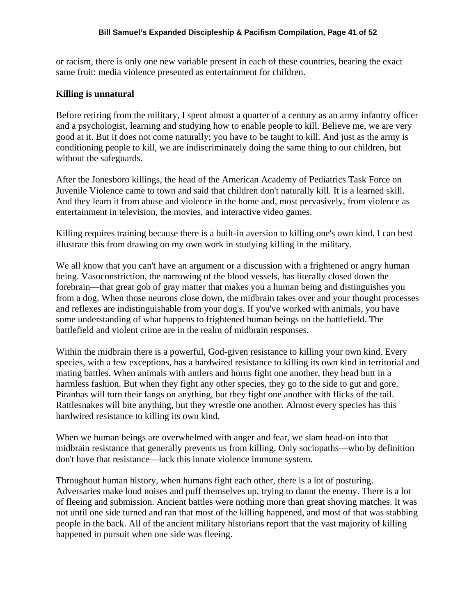or racism, there is only one new variable present in each of these countries, bearing the exact same fruit: media violence presented as entertainment for children.

#### **Killing is unnatural**

Before retiring from the military, I spent almost a quarter of a century as an army infantry officer and a psychologist, learning and studying how to enable people to kill. Believe me, we are very good at it. But it does not come naturally; you have to be taught to kill. And just as the army is conditioning people to kill, we are indiscriminately doing the same thing to our children, but without the safeguards.

After the Jonesboro killings, the head of the American Academy of Pediatrics Task Force on Juvenile Violence came to town and said that children don't naturally kill. It is a learned skill. And they learn it from abuse and violence in the home and, most pervasively, from violence as entertainment in television, the movies, and interactive video games.

Killing requires training because there is a built-in aversion to killing one's own kind. I can best illustrate this from drawing on my own work in studying killing in the military.

We all know that you can't have an argument or a discussion with a frightened or angry human being. Vasoconstriction, the narrowing of the blood vessels, has literally closed down the forebrain—that great gob of gray matter that makes you a human being and distinguishes you from a dog. When those neurons close down, the midbrain takes over and your thought processes and reflexes are indistinguishable from your dog's. If you've worked with animals, you have some understanding of what happens to frightened human beings on the battlefield. The battlefield and violent crime are in the realm of midbrain responses.

Within the midbrain there is a powerful, God-given resistance to killing your own kind. Every species, with a few exceptions, has a hardwired resistance to killing its own kind in territorial and mating battles. When animals with antlers and horns fight one another, they head butt in a harmless fashion. But when they fight any other species, they go to the side to gut and gore. Piranhas will turn their fangs on anything, but they fight one another with flicks of the tail. Rattlesnakes will bite anything, but they wrestle one another. Almost every species has this hardwired resistance to killing its own kind.

When we human beings are overwhelmed with anger and fear, we slam head-on into that midbrain resistance that generally prevents us from killing. Only sociopaths—who by definition don't have that resistance—lack this innate violence immune system.

Throughout human history, when humans fight each other, there is a lot of posturing. Adversaries make loud noises and puff themselves up, trying to daunt the enemy. There is a lot of fleeing and submission. Ancient battles were nothing more than great shoving matches. It was not until one side turned and ran that most of the killing happened, and most of that was stabbing people in the back. All of the ancient military historians report that the vast majority of killing happened in pursuit when one side was fleeing.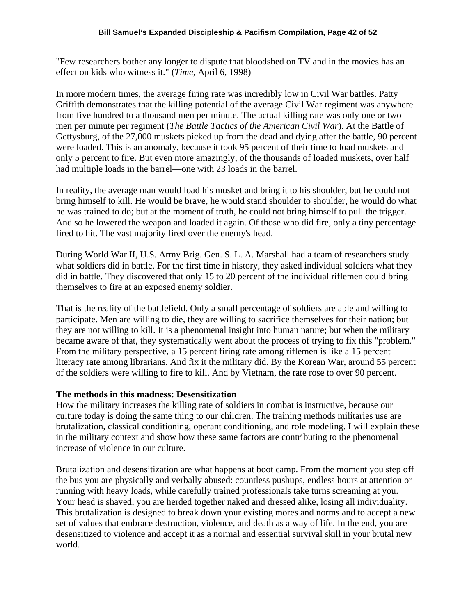"Few researchers bother any longer to dispute that bloodshed on TV and in the movies has an effect on kids who witness it." (*Time*, April 6, 1998)

In more modern times, the average firing rate was incredibly low in Civil War battles. Patty Griffith demonstrates that the killing potential of the average Civil War regiment was anywhere from five hundred to a thousand men per minute. The actual killing rate was only one or two men per minute per regiment (*The Battle Tactics of the American Civil War*). At the Battle of Gettysburg, of the 27,000 muskets picked up from the dead and dying after the battle, 90 percent were loaded. This is an anomaly, because it took 95 percent of their time to load muskets and only 5 percent to fire. But even more amazingly, of the thousands of loaded muskets, over half had multiple loads in the barrel—one with 23 loads in the barrel.

In reality, the average man would load his musket and bring it to his shoulder, but he could not bring himself to kill. He would be brave, he would stand shoulder to shoulder, he would do what he was trained to do; but at the moment of truth, he could not bring himself to pull the trigger. And so he lowered the weapon and loaded it again. Of those who did fire, only a tiny percentage fired to hit. The vast majority fired over the enemy's head.

During World War II, U.S. Army Brig. Gen. S. L. A. Marshall had a team of researchers study what soldiers did in battle. For the first time in history, they asked individual soldiers what they did in battle. They discovered that only 15 to 20 percent of the individual riflemen could bring themselves to fire at an exposed enemy soldier.

That is the reality of the battlefield. Only a small percentage of soldiers are able and willing to participate. Men are willing to die, they are willing to sacrifice themselves for their nation; but they are not willing to kill. It is a phenomenal insight into human nature; but when the military became aware of that, they systematically went about the process of trying to fix this "problem." From the military perspective, a 15 percent firing rate among riflemen is like a 15 percent literacy rate among librarians. And fix it the military did. By the Korean War, around 55 percent of the soldiers were willing to fire to kill. And by Vietnam, the rate rose to over 90 percent.

# **The methods in this madness: Desensitization**

How the military increases the killing rate of soldiers in combat is instructive, because our culture today is doing the same thing to our children. The training methods militaries use are brutalization, classical conditioning, operant conditioning, and role modeling. I will explain these in the military context and show how these same factors are contributing to the phenomenal increase of violence in our culture.

Brutalization and desensitization are what happens at boot camp. From the moment you step off the bus you are physically and verbally abused: countless pushups, endless hours at attention or running with heavy loads, while carefully trained professionals take turns screaming at you. Your head is shaved, you are herded together naked and dressed alike, losing all individuality. This brutalization is designed to break down your existing mores and norms and to accept a new set of values that embrace destruction, violence, and death as a way of life. In the end, you are desensitized to violence and accept it as a normal and essential survival skill in your brutal new world.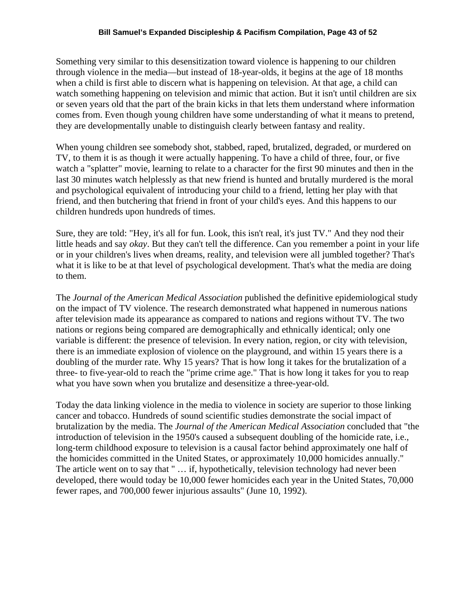Something very similar to this desensitization toward violence is happening to our children through violence in the media—but instead of 18-year-olds, it begins at the age of 18 months when a child is first able to discern what is happening on television. At that age, a child can watch something happening on television and mimic that action. But it isn't until children are six or seven years old that the part of the brain kicks in that lets them understand where information comes from. Even though young children have some understanding of what it means to pretend, they are developmentally unable to distinguish clearly between fantasy and reality.

When young children see somebody shot, stabbed, raped, brutalized, degraded, or murdered on TV, to them it is as though it were actually happening. To have a child of three, four, or five watch a "splatter" movie, learning to relate to a character for the first 90 minutes and then in the last 30 minutes watch helplessly as that new friend is hunted and brutally murdered is the moral and psychological equivalent of introducing your child to a friend, letting her play with that friend, and then butchering that friend in front of your child's eyes. And this happens to our children hundreds upon hundreds of times.

Sure, they are told: "Hey, it's all for fun. Look, this isn't real, it's just TV." And they nod their little heads and say *okay*. But they can't tell the difference. Can you remember a point in your life or in your children's lives when dreams, reality, and television were all jumbled together? That's what it is like to be at that level of psychological development. That's what the media are doing to them.

The *Journal of the American Medical Association* published the definitive epidemiological study on the impact of TV violence. The research demonstrated what happened in numerous nations after television made its appearance as compared to nations and regions without TV. The two nations or regions being compared are demographically and ethnically identical; only one variable is different: the presence of television. In every nation, region, or city with television, there is an immediate explosion of violence on the playground, and within 15 years there is a doubling of the murder rate. Why 15 years? That is how long it takes for the brutalization of a three- to five-year-old to reach the "prime crime age." That is how long it takes for you to reap what you have sown when you brutalize and desensitize a three-year-old.

Today the data linking violence in the media to violence in society are superior to those linking cancer and tobacco. Hundreds of sound scientific studies demonstrate the social impact of brutalization by the media. The *Journal of the American Medical Association* concluded that "the introduction of television in the 1950's caused a subsequent doubling of the homicide rate, i.e., long-term childhood exposure to television is a causal factor behind approximately one half of the homicides committed in the United States, or approximately 10,000 homicides annually." The article went on to say that " ... if, hypothetically, television technology had never been developed, there would today be 10,000 fewer homicides each year in the United States, 70,000 fewer rapes, and 700,000 fewer injurious assaults" (June 10, 1992).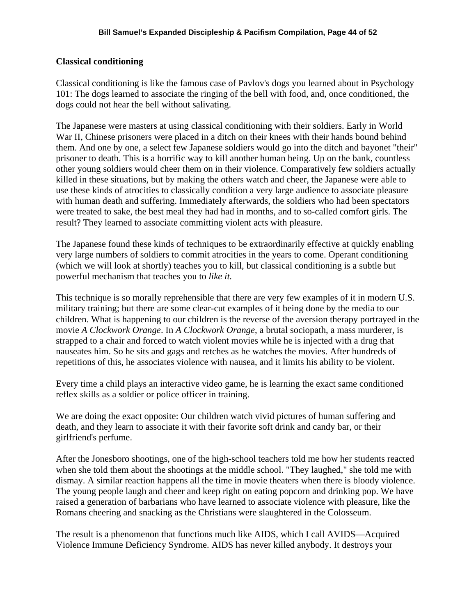#### **Classical conditioning**

Classical conditioning is like the famous case of Pavlov's dogs you learned about in Psychology 101: The dogs learned to associate the ringing of the bell with food, and, once conditioned, the dogs could not hear the bell without salivating.

The Japanese were masters at using classical conditioning with their soldiers. Early in World War II, Chinese prisoners were placed in a ditch on their knees with their hands bound behind them. And one by one, a select few Japanese soldiers would go into the ditch and bayonet "their" prisoner to death. This is a horrific way to kill another human being. Up on the bank, countless other young soldiers would cheer them on in their violence. Comparatively few soldiers actually killed in these situations, but by making the others watch and cheer, the Japanese were able to use these kinds of atrocities to classically condition a very large audience to associate pleasure with human death and suffering. Immediately afterwards, the soldiers who had been spectators were treated to sake, the best meal they had had in months, and to so-called comfort girls. The result? They learned to associate committing violent acts with pleasure.

The Japanese found these kinds of techniques to be extraordinarily effective at quickly enabling very large numbers of soldiers to commit atrocities in the years to come. Operant conditioning (which we will look at shortly) teaches you to kill, but classical conditioning is a subtle but powerful mechanism that teaches you to *like it.*

This technique is so morally reprehensible that there are very few examples of it in modern U.S. military training; but there are some clear-cut examples of it being done by the media to our children. What is happening to our children is the reverse of the aversion therapy portrayed in the movie *A Clockwork Orange*. In *A Clockwork Orange*, a brutal sociopath, a mass murderer, is strapped to a chair and forced to watch violent movies while he is injected with a drug that nauseates him. So he sits and gags and retches as he watches the movies. After hundreds of repetitions of this, he associates violence with nausea, and it limits his ability to be violent.

Every time a child plays an interactive video game, he is learning the exact same conditioned reflex skills as a soldier or police officer in training.

We are doing the exact opposite: Our children watch vivid pictures of human suffering and death, and they learn to associate it with their favorite soft drink and candy bar, or their girlfriend's perfume.

After the Jonesboro shootings, one of the high-school teachers told me how her students reacted when she told them about the shootings at the middle school. "They laughed," she told me with dismay. A similar reaction happens all the time in movie theaters when there is bloody violence. The young people laugh and cheer and keep right on eating popcorn and drinking pop. We have raised a generation of barbarians who have learned to associate violence with pleasure, like the Romans cheering and snacking as the Christians were slaughtered in the Colosseum.

The result is a phenomenon that functions much like AIDS, which I call AVIDS—Acquired Violence Immune Deficiency Syndrome. AIDS has never killed anybody. It destroys your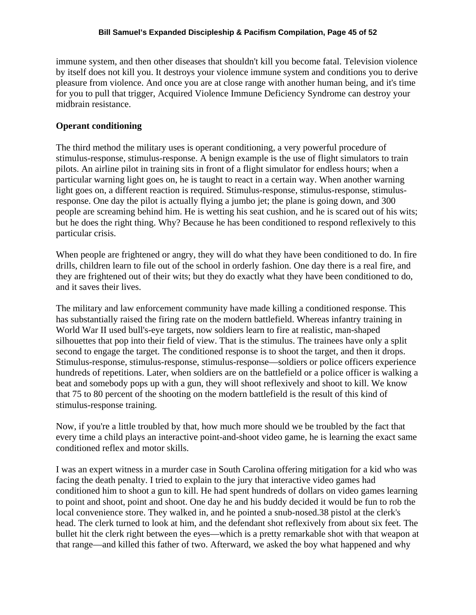immune system, and then other diseases that shouldn't kill you become fatal. Television violence by itself does not kill you. It destroys your violence immune system and conditions you to derive pleasure from violence. And once you are at close range with another human being, and it's time for you to pull that trigger, Acquired Violence Immune Deficiency Syndrome can destroy your midbrain resistance.

## **Operant conditioning**

The third method the military uses is operant conditioning, a very powerful procedure of stimulus-response, stimulus-response. A benign example is the use of flight simulators to train pilots. An airline pilot in training sits in front of a flight simulator for endless hours; when a particular warning light goes on, he is taught to react in a certain way. When another warning light goes on, a different reaction is required. Stimulus-response, stimulus-response, stimulusresponse. One day the pilot is actually flying a jumbo jet; the plane is going down, and 300 people are screaming behind him. He is wetting his seat cushion, and he is scared out of his wits; but he does the right thing. Why? Because he has been conditioned to respond reflexively to this particular crisis.

When people are frightened or angry, they will do what they have been conditioned to do. In fire drills, children learn to file out of the school in orderly fashion. One day there is a real fire, and they are frightened out of their wits; but they do exactly what they have been conditioned to do, and it saves their lives.

The military and law enforcement community have made killing a conditioned response. This has substantially raised the firing rate on the modern battlefield. Whereas infantry training in World War II used bull's-eye targets, now soldiers learn to fire at realistic, man-shaped silhouettes that pop into their field of view. That is the stimulus. The trainees have only a split second to engage the target. The conditioned response is to shoot the target, and then it drops. Stimulus-response, stimulus-response, stimulus-response—soldiers or police officers experience hundreds of repetitions. Later, when soldiers are on the battlefield or a police officer is walking a beat and somebody pops up with a gun, they will shoot reflexively and shoot to kill. We know that 75 to 80 percent of the shooting on the modern battlefield is the result of this kind of stimulus-response training.

Now, if you're a little troubled by that, how much more should we be troubled by the fact that every time a child plays an interactive point-and-shoot video game, he is learning the exact same conditioned reflex and motor skills.

I was an expert witness in a murder case in South Carolina offering mitigation for a kid who was facing the death penalty. I tried to explain to the jury that interactive video games had conditioned him to shoot a gun to kill. He had spent hundreds of dollars on video games learning to point and shoot, point and shoot. One day he and his buddy decided it would be fun to rob the local convenience store. They walked in, and he pointed a snub-nosed.38 pistol at the clerk's head. The clerk turned to look at him, and the defendant shot reflexively from about six feet. The bullet hit the clerk right between the eyes—which is a pretty remarkable shot with that weapon at that range—and killed this father of two. Afterward, we asked the boy what happened and why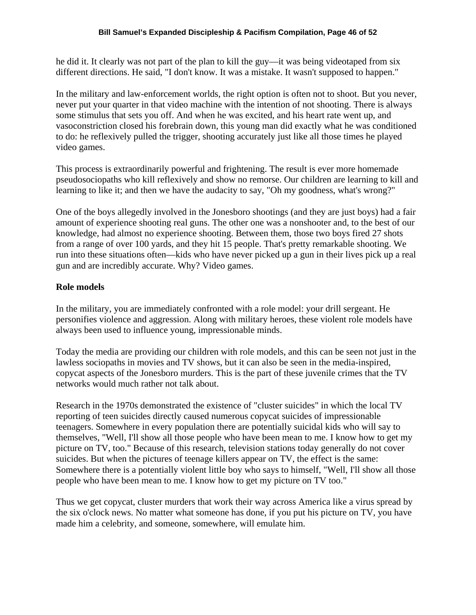he did it. It clearly was not part of the plan to kill the guy—it was being videotaped from six different directions. He said, "I don't know. It was a mistake. It wasn't supposed to happen."

In the military and law-enforcement worlds, the right option is often not to shoot. But you never, never put your quarter in that video machine with the intention of not shooting. There is always some stimulus that sets you off. And when he was excited, and his heart rate went up, and vasoconstriction closed his forebrain down, this young man did exactly what he was conditioned to do: he reflexively pulled the trigger, shooting accurately just like all those times he played video games.

This process is extraordinarily powerful and frightening. The result is ever more homemade pseudosociopaths who kill reflexively and show no remorse. Our children are learning to kill and learning to like it; and then we have the audacity to say, "Oh my goodness, what's wrong?"

One of the boys allegedly involved in the Jonesboro shootings (and they are just boys) had a fair amount of experience shooting real guns. The other one was a nonshooter and, to the best of our knowledge, had almost no experience shooting. Between them, those two boys fired 27 shots from a range of over 100 yards, and they hit 15 people. That's pretty remarkable shooting. We run into these situations often—kids who have never picked up a gun in their lives pick up a real gun and are incredibly accurate. Why? Video games.

# **Role models**

In the military, you are immediately confronted with a role model: your drill sergeant. He personifies violence and aggression. Along with military heroes, these violent role models have always been used to influence young, impressionable minds.

Today the media are providing our children with role models, and this can be seen not just in the lawless sociopaths in movies and TV shows, but it can also be seen in the media-inspired, copycat aspects of the Jonesboro murders. This is the part of these juvenile crimes that the TV networks would much rather not talk about.

Research in the 1970s demonstrated the existence of "cluster suicides" in which the local TV reporting of teen suicides directly caused numerous copycat suicides of impressionable teenagers. Somewhere in every population there are potentially suicidal kids who will say to themselves, "Well, I'll show all those people who have been mean to me. I know how to get my picture on TV, too." Because of this research, television stations today generally do not cover suicides. But when the pictures of teenage killers appear on TV, the effect is the same: Somewhere there is a potentially violent little boy who says to himself, "Well, I'll show all those people who have been mean to me. I know how to get my picture on TV too."

Thus we get copycat, cluster murders that work their way across America like a virus spread by the six o'clock news. No matter what someone has done, if you put his picture on TV, you have made him a celebrity, and someone, somewhere, will emulate him.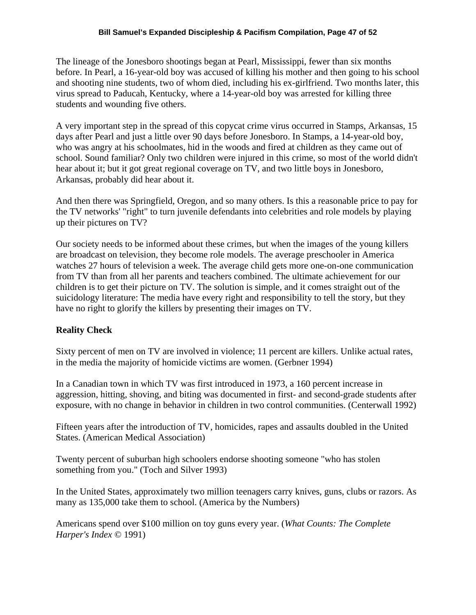The lineage of the Jonesboro shootings began at Pearl, Mississippi, fewer than six months before. In Pearl, a 16-year-old boy was accused of killing his mother and then going to his school and shooting nine students, two of whom died, including his ex-girlfriend. Two months later, this virus spread to Paducah, Kentucky, where a 14-year-old boy was arrested for killing three students and wounding five others.

A very important step in the spread of this copycat crime virus occurred in Stamps, Arkansas, 15 days after Pearl and just a little over 90 days before Jonesboro. In Stamps, a 14-year-old boy, who was angry at his schoolmates, hid in the woods and fired at children as they came out of school. Sound familiar? Only two children were injured in this crime, so most of the world didn't hear about it; but it got great regional coverage on TV, and two little boys in Jonesboro, Arkansas, probably did hear about it.

And then there was Springfield, Oregon, and so many others. Is this a reasonable price to pay for the TV networks' "right" to turn juvenile defendants into celebrities and role models by playing up their pictures on TV?

Our society needs to be informed about these crimes, but when the images of the young killers are broadcast on television, they become role models. The average preschooler in America watches 27 hours of television a week. The average child gets more one-on-one communication from TV than from all her parents and teachers combined. The ultimate achievement for our children is to get their picture on TV. The solution is simple, and it comes straight out of the suicidology literature: The media have every right and responsibility to tell the story, but they have no right to glorify the killers by presenting their images on TV.

# **Reality Check**

Sixty percent of men on TV are involved in violence; 11 percent are killers. Unlike actual rates, in the media the majority of homicide victims are women. (Gerbner 1994)

In a Canadian town in which TV was first introduced in 1973, a 160 percent increase in aggression, hitting, shoving, and biting was documented in first- and second-grade students after exposure, with no change in behavior in children in two control communities. (Centerwall 1992)

Fifteen years after the introduction of TV, homicides, rapes and assaults doubled in the United States. (American Medical Association)

Twenty percent of suburban high schoolers endorse shooting someone "who has stolen something from you." (Toch and Silver 1993)

In the United States, approximately two million teenagers carry knives, guns, clubs or razors. As many as 135,000 take them to school. (America by the Numbers)

Americans spend over \$100 million on toy guns every year. (*What Counts: The Complete Harper's Index* © 1991)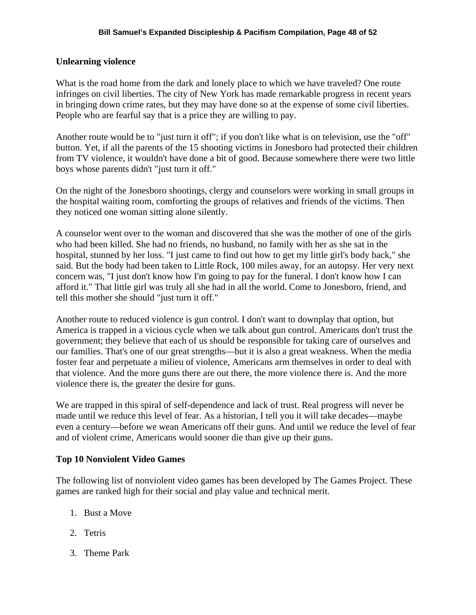## **Unlearning violence**

What is the road home from the dark and lonely place to which we have traveled? One route infringes on civil liberties. The city of New York has made remarkable progress in recent years in bringing down crime rates, but they may have done so at the expense of some civil liberties. People who are fearful say that is a price they are willing to pay.

Another route would be to "just turn it off"; if you don't like what is on television, use the "off" button. Yet, if all the parents of the 15 shooting victims in Jonesboro had protected their children from TV violence, it wouldn't have done a bit of good. Because somewhere there were two little boys whose parents didn't "just turn it off."

On the night of the Jonesboro shootings, clergy and counselors were working in small groups in the hospital waiting room, comforting the groups of relatives and friends of the victims. Then they noticed one woman sitting alone silently.

A counselor went over to the woman and discovered that she was the mother of one of the girls who had been killed. She had no friends, no husband, no family with her as she sat in the hospital, stunned by her loss. "I just came to find out how to get my little girl's body back," she said. But the body had been taken to Little Rock, 100 miles away, for an autopsy. Her very next concern was, "I just don't know how I'm going to pay for the funeral. I don't know how I can afford it." That little girl was truly all she had in all the world. Come to Jonesboro, friend, and tell this mother she should "just turn it off."

Another route to reduced violence is gun control. I don't want to downplay that option, but America is trapped in a vicious cycle when we talk about gun control. Americans don't trust the government; they believe that each of us should be responsible for taking care of ourselves and our families. That's one of our great strengths—but it is also a great weakness. When the media foster fear and perpetuate a milieu of violence, Americans arm themselves in order to deal with that violence. And the more guns there are out there, the more violence there is. And the more violence there is, the greater the desire for guns.

We are trapped in this spiral of self-dependence and lack of trust. Real progress will never be made until we reduce this level of fear. As a historian, I tell you it will take decades—maybe even a century—before we wean Americans off their guns. And until we reduce the level of fear and of violent crime, Americans would sooner die than give up their guns.

# **Top 10 Nonviolent Video Games**

The following list of nonviolent video games has been developed by The Games Project. These games are ranked high for their social and play value and technical merit.

- 1. Bust a Move
- 2. Tetris
- 3. Theme Park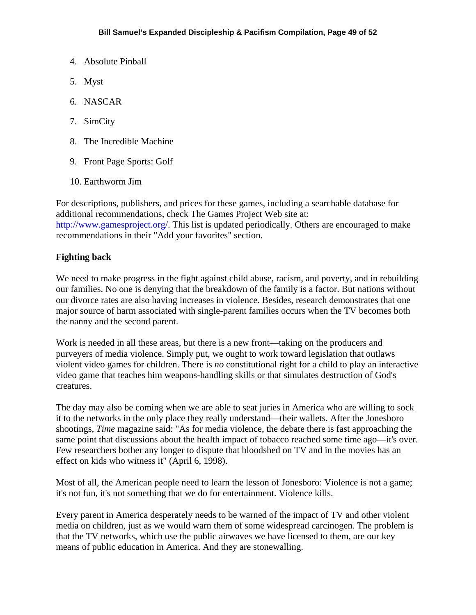- 4. Absolute Pinball
- 5. Myst
- 6. NASCAR
- 7. SimCity
- 8. The Incredible Machine
- 9. Front Page Sports: Golf
- 10. Earthworm Jim

For descriptions, publishers, and prices for these games, including a searchable database for additional recommendations, check The Games Project Web site at: <http://www.gamesproject.org/>. This list is updated periodically. Others are encouraged to make recommendations in their "Add your favorites" section.

# **Fighting back**

We need to make progress in the fight against child abuse, racism, and poverty, and in rebuilding our families. No one is denying that the breakdown of the family is a factor. But nations without our divorce rates are also having increases in violence. Besides, research demonstrates that one major source of harm associated with single-parent families occurs when the TV becomes both the nanny and the second parent.

Work is needed in all these areas, but there is a new front—taking on the producers and purveyers of media violence. Simply put, we ought to work toward legislation that outlaws violent video games for children. There is *no* constitutional right for a child to play an interactive video game that teaches him weapons-handling skills or that simulates destruction of God's creatures.

The day may also be coming when we are able to seat juries in America who are willing to sock it to the networks in the only place they really understand—their wallets. After the Jonesboro shootings, *Time* magazine said: "As for media violence, the debate there is fast approaching the same point that discussions about the health impact of tobacco reached some time ago—it's over. Few researchers bother any longer to dispute that bloodshed on TV and in the movies has an effect on kids who witness it" (April 6, 1998).

Most of all, the American people need to learn the lesson of Jonesboro: Violence is not a game; it's not fun, it's not something that we do for entertainment. Violence kills.

Every parent in America desperately needs to be warned of the impact of TV and other violent media on children, just as we would warn them of some widespread carcinogen. The problem is that the TV networks, which use the public airwaves we have licensed to them, are our key means of public education in America. And they are stonewalling.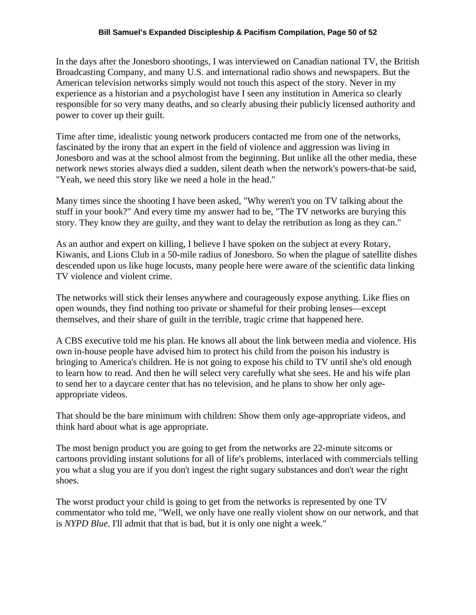In the days after the Jonesboro shootings, I was interviewed on Canadian national TV, the British Broadcasting Company, and many U.S. and international radio shows and newspapers. But the American television networks simply would not touch this aspect of the story. Never in my experience as a historian and a psychologist have I seen any institution in America so clearly responsible for so very many deaths, and so clearly abusing their publicly licensed authority and power to cover up their guilt.

Time after time, idealistic young network producers contacted me from one of the networks, fascinated by the irony that an expert in the field of violence and aggression was living in Jonesboro and was at the school almost from the beginning. But unlike all the other media, these network news stories always died a sudden, silent death when the network's powers-that-be said, "Yeah, we need this story like we need a hole in the head."

Many times since the shooting I have been asked, "Why weren't you on TV talking about the stuff in your book?" And every time my answer had to be, "The TV networks are burying this story. They know they are guilty, and they want to delay the retribution as long as they can."

As an author and expert on killing, I believe I have spoken on the subject at every Rotary, Kiwanis, and Lions Club in a 50-mile radius of Jonesboro. So when the plague of satellite dishes descended upon us like huge locusts, many people here were aware of the scientific data linking TV violence and violent crime.

The networks will stick their lenses anywhere and courageously expose anything. Like flies on open wounds, they find nothing too private or shameful for their probing lenses—except themselves, and their share of guilt in the terrible, tragic crime that happened here.

A CBS executive told me his plan. He knows all about the link between media and violence. His own in-house people have advised him to protect his child from the poison his industry is bringing to America's children. He is not going to expose his child to TV until she's old enough to learn how to read. And then he will select very carefully what she sees. He and his wife plan to send her to a daycare center that has no television, and he plans to show her only ageappropriate videos.

That should be the bare minimum with children: Show them only age-appropriate videos, and think hard about what is age appropriate.

The most benign product you are going to get from the networks are 22-minute sitcoms or cartoons providing instant solutions for all of life's problems, interlaced with commercials telling you what a slug you are if you don't ingest the right sugary substances and don't wear the right shoes.

The worst product your child is going to get from the networks is represented by one TV commentator who told me, "Well, we only have one really violent show on our network, and that is *NYPD Blue*. I'll admit that that is bad, but it is only one night a week."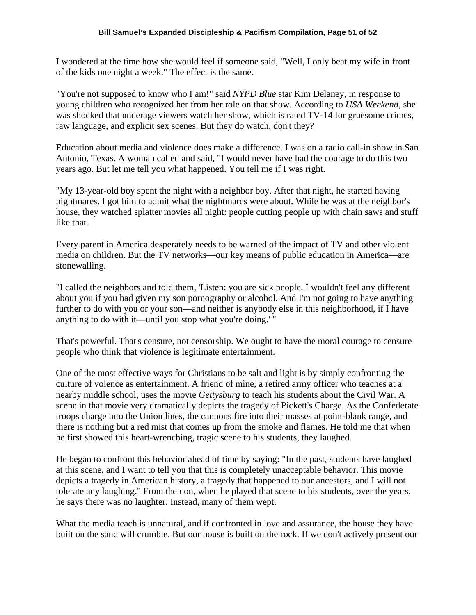I wondered at the time how she would feel if someone said, "Well, I only beat my wife in front of the kids one night a week." The effect is the same.

"You're not supposed to know who I am!" said *NYPD Blue* star Kim Delaney, in response to young children who recognized her from her role on that show. According to *USA Weekend*, she was shocked that underage viewers watch her show, which is rated TV-14 for gruesome crimes, raw language, and explicit sex scenes. But they do watch, don't they?

Education about media and violence does make a difference. I was on a radio call-in show in San Antonio, Texas. A woman called and said, "I would never have had the courage to do this two years ago. But let me tell you what happened. You tell me if I was right.

"My 13-year-old boy spent the night with a neighbor boy. After that night, he started having nightmares. I got him to admit what the nightmares were about. While he was at the neighbor's house, they watched splatter movies all night: people cutting people up with chain saws and stuff like that.

Every parent in America desperately needs to be warned of the impact of TV and other violent media on children. But the TV networks—our key means of public education in America—are stonewalling.

"I called the neighbors and told them, 'Listen: you are sick people. I wouldn't feel any different about you if you had given my son pornography or alcohol. And I'm not going to have anything further to do with you or your son—and neither is anybody else in this neighborhood, if I have anything to do with it—until you stop what you're doing.' "

That's powerful. That's censure, not censorship. We ought to have the moral courage to censure people who think that violence is legitimate entertainment.

One of the most effective ways for Christians to be salt and light is by simply confronting the culture of volence as entertainment. A friend of mine, a retired army officer who teaches at a nearby middle school, uses the movie *Gettysburg* to teach his students about the Civil War. A scene in that movie very dramatically depicts the tragedy of Pickett's Charge. As the Confederate troops charge into the Union lines, the cannons fire into their masses at point-blank range, and there is nothing but a red mist that comes up from the smoke and flames. He told me that when he first showed this heart-wrenching, tragic scene to his students, they laughed.

He began to confront this behavior ahead of time by saying: "In the past, students have laughed at this scene, and I want to tell you that this is completely unacceptable behavior. This movie depicts a tragedy in American history, a tragedy that happened to our ancestors, and I will not tolerate any laughing." From then on, when he played that scene to his students, over the years, he says there was no laughter. Instead, many of them wept.

What the media teach is unnatural, and if confronted in love and assurance, the house they have built on the sand will crumble. But our house is built on the rock. If we don't actively present our